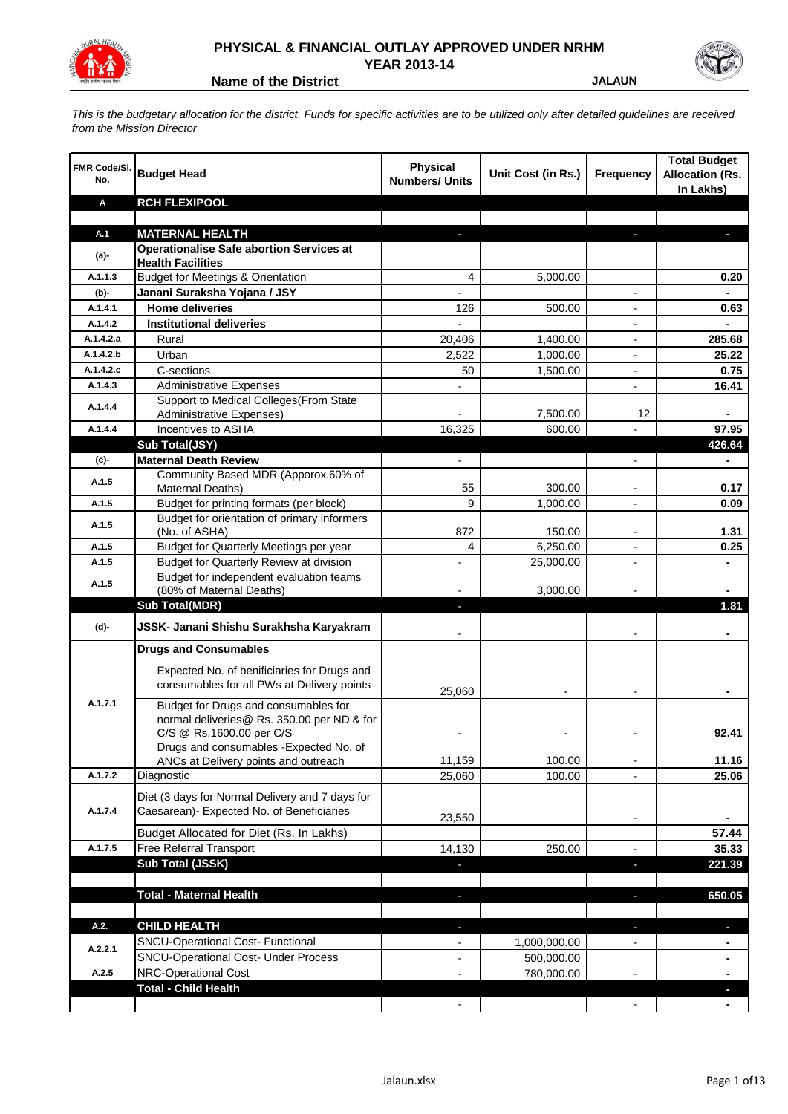

## **PHYSICAL & FINANCIAL OUTLAY APPROVED UNDER NRHM YEAR 2013-14**

**Name of the District State of the District State of the District State of the District State of the District State of the UK and State of the UK and State of the UK and State of the UK and State of the UK and State of the** 

*This is the budgetary allocation for the district. Funds for specific activities are to be utilized only after detailed guidelines are received from the Mission Director*

| <b>FMR Code/SI.</b><br>No. | <b>Budget Head</b>                                                                                             | <b>Physical</b><br><b>Numbers/ Units</b> | Unit Cost (in Rs.) | Frequency                | <b>Total Budget</b><br><b>Allocation (Rs.</b><br>In Lakhs) |
|----------------------------|----------------------------------------------------------------------------------------------------------------|------------------------------------------|--------------------|--------------------------|------------------------------------------------------------|
| Α                          | <b>RCH FLEXIPOOL</b>                                                                                           |                                          |                    |                          |                                                            |
|                            |                                                                                                                |                                          |                    |                          |                                                            |
| A.1                        | <b>MATERNAL HEALTH</b>                                                                                         |                                          |                    |                          |                                                            |
| $(a)$ -                    | <b>Operationalise Safe abortion Services at</b><br><b>Health Facilities</b>                                    |                                          |                    |                          |                                                            |
| A.1.1.3                    | <b>Budget for Meetings &amp; Orientation</b>                                                                   | 4                                        | 5,000.00           |                          | 0.20                                                       |
| (b)-                       | Janani Suraksha Yojana / JSY                                                                                   |                                          |                    |                          |                                                            |
| A.1.4.1                    | <b>Home deliveries</b>                                                                                         | 126                                      | 500.00             |                          | 0.63                                                       |
| A.1.4.2                    | <b>Institutional deliveries</b>                                                                                |                                          |                    |                          |                                                            |
| A.1.4.2.a                  | Rural                                                                                                          | 20,406                                   | 1,400.00           |                          | 285.68                                                     |
| A.1.4.2.b                  | Urban                                                                                                          | 2,522                                    | 1,000.00           | $\blacksquare$           | 25.22                                                      |
| A.1.4.2.c                  | C-sections                                                                                                     | 50                                       | 1,500.00           | $\blacksquare$           | 0.75                                                       |
| A.1.4.3                    | <b>Administrative Expenses</b>                                                                                 |                                          |                    | $\overline{a}$           | 16.41                                                      |
| A.1.4.4                    | Support to Medical Colleges (From State                                                                        |                                          |                    |                          |                                                            |
|                            | Administrative Expenses)                                                                                       |                                          | 7,500.00           | 12                       |                                                            |
| A.1.4.4                    | Incentives to ASHA                                                                                             | 16,325                                   | 600.00             |                          | 97.95                                                      |
|                            | Sub Total(JSY)                                                                                                 |                                          |                    |                          | 426.64                                                     |
| (c)                        | <b>Maternal Death Review</b><br>Community Based MDR (Apporox.60% of                                            | $\overline{\phantom{a}}$                 |                    | ٠                        |                                                            |
| A.1.5                      | Maternal Deaths)                                                                                               | 55                                       | 300.00             |                          | 0.17                                                       |
| A.1.5                      | Budget for printing formats (per block)                                                                        | 9                                        | 1,000.00           |                          | 0.09                                                       |
|                            | Budget for orientation of primary informers                                                                    |                                          |                    |                          |                                                            |
| A.1.5                      | (No. of ASHA)                                                                                                  | 872                                      | 150.00             |                          | 1.31                                                       |
| A.1.5                      | Budget for Quarterly Meetings per year                                                                         | 4                                        | 6,250.00           |                          | 0.25                                                       |
| A.1.5                      | Budget for Quarterly Review at division                                                                        |                                          | 25,000.00          |                          |                                                            |
| A.1.5                      | Budget for independent evaluation teams                                                                        |                                          |                    |                          |                                                            |
|                            | (80% of Maternal Deaths)                                                                                       |                                          | 3,000.00           |                          |                                                            |
|                            | <b>Sub Total(MDR)</b>                                                                                          | ٠                                        |                    |                          | 1.81                                                       |
| (d)-                       | JSSK- Janani Shishu Surakhsha Karyakram                                                                        |                                          |                    |                          |                                                            |
|                            | <b>Drugs and Consumables</b>                                                                                   |                                          |                    |                          |                                                            |
|                            | Expected No. of benificiaries for Drugs and<br>consumables for all PWs at Delivery points                      | 25,060                                   |                    |                          |                                                            |
| A.1.7.1                    | Budget for Drugs and consumables for<br>normal deliveries@ Rs. 350.00 per ND & for<br>C/S @ Rs.1600.00 per C/S |                                          |                    |                          | 92.41                                                      |
|                            | Drugs and consumables - Expected No. of                                                                        |                                          |                    |                          |                                                            |
|                            | ANCs at Delivery points and outreach                                                                           | 11,159                                   | 100.00             |                          | 11.16                                                      |
| A.1.7.2                    | Diagnostic                                                                                                     | 25,060                                   | 100.00             |                          | 25.06                                                      |
| A.1.7.4                    | Diet (3 days for Normal Delivery and 7 days for<br>Caesarean)- Expected No. of Beneficiaries                   | 23,550                                   |                    | $\overline{\phantom{a}}$ |                                                            |
|                            | Budget Allocated for Diet (Rs. In Lakhs)                                                                       |                                          |                    |                          | 57.44                                                      |
| A.1.7.5                    | Free Referral Transport                                                                                        | 14,130                                   | 250.00             | $\blacksquare$           | 35.33                                                      |
|                            | Sub Total (JSSK)                                                                                               |                                          |                    | ×                        | 221.39                                                     |
|                            |                                                                                                                |                                          |                    |                          |                                                            |
|                            | <b>Total - Maternal Health</b>                                                                                 |                                          |                    | J.                       | 650.05                                                     |
|                            |                                                                                                                |                                          |                    |                          |                                                            |
| A.2.                       | <b>CHILD HEALTH</b>                                                                                            |                                          |                    |                          | H.                                                         |
| A.2.2.1                    | SNCU-Operational Cost- Functional                                                                              |                                          | 1,000,000.00       |                          |                                                            |
|                            | <b>SNCU-Operational Cost- Under Process</b>                                                                    |                                          | 500,000.00         |                          |                                                            |
| A.2.5                      | <b>NRC-Operational Cost</b><br><b>Total - Child Health</b>                                                     |                                          | 780,000.00         |                          |                                                            |
|                            |                                                                                                                |                                          |                    |                          |                                                            |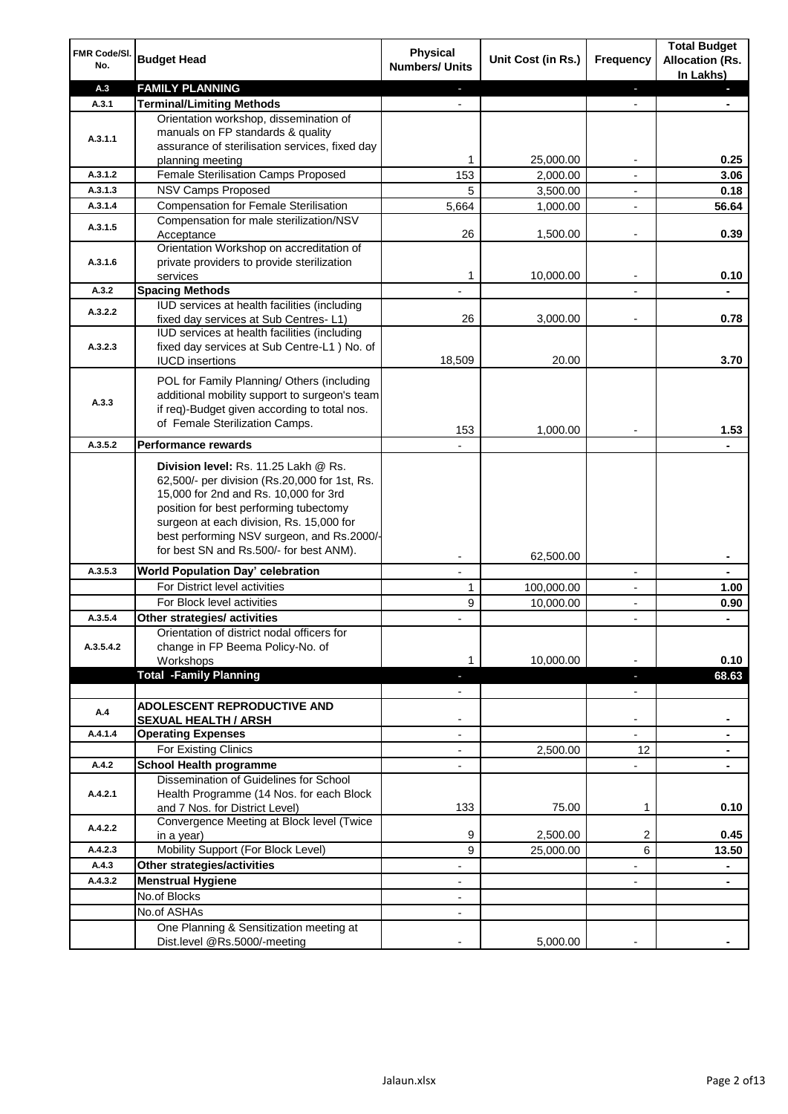| FMR Code/SI.<br>No.  | <b>Budget Head</b>                                                                                                                                                                                                                                                                                            | <b>Physical</b><br><b>Numbers/ Units</b>             | Unit Cost (in Rs.) | <b>Frequency</b>              | <b>Total Budget</b><br><b>Allocation (Rs.</b><br>In Lakhs) |
|----------------------|---------------------------------------------------------------------------------------------------------------------------------------------------------------------------------------------------------------------------------------------------------------------------------------------------------------|------------------------------------------------------|--------------------|-------------------------------|------------------------------------------------------------|
| A.3                  | <b>FAMILY PLANNING</b>                                                                                                                                                                                                                                                                                        | $\sim$                                               |                    | $\overline{\phantom{a}}$      | $\sim$                                                     |
| A.3.1                | <b>Terminal/Limiting Methods</b>                                                                                                                                                                                                                                                                              |                                                      |                    |                               |                                                            |
| A.3.1.1              | Orientation workshop, dissemination of<br>manuals on FP standards & quality<br>assurance of sterilisation services, fixed day<br>planning meeting                                                                                                                                                             | 1                                                    | 25,000.00          | $\overline{\phantom{a}}$      | 0.25                                                       |
| A.3.1.2              | Female Sterilisation Camps Proposed                                                                                                                                                                                                                                                                           | 153                                                  | 2,000.00           |                               | 3.06                                                       |
| A.3.1.3              | <b>NSV Camps Proposed</b>                                                                                                                                                                                                                                                                                     | 5                                                    | 3,500.00           |                               | 0.18                                                       |
| A.3.1.4              | <b>Compensation for Female Sterilisation</b>                                                                                                                                                                                                                                                                  | 5,664                                                | 1,000.00           | $\overline{\phantom{a}}$      | 56.64                                                      |
| A.3.1.5              | Compensation for male sterilization/NSV<br>Acceptance                                                                                                                                                                                                                                                         | 26                                                   | 1,500.00           |                               | 0.39                                                       |
| A.3.1.6              | Orientation Workshop on accreditation of<br>private providers to provide sterilization<br>services                                                                                                                                                                                                            | 1                                                    | 10,000.00          | $\blacksquare$                | 0.10                                                       |
| A.3.2                | <b>Spacing Methods</b>                                                                                                                                                                                                                                                                                        |                                                      |                    |                               | ä,                                                         |
| A.3.2.2              | IUD services at health facilities (including<br>fixed day services at Sub Centres-L1)                                                                                                                                                                                                                         | 26                                                   | 3,000.00           | $\overline{\phantom{a}}$      | 0.78                                                       |
| A.3.2.3              | IUD services at health facilities (including<br>fixed day services at Sub Centre-L1 ) No. of<br><b>IUCD</b> insertions                                                                                                                                                                                        | 18,509                                               | 20.00              |                               | 3.70                                                       |
| A.3.3                | POL for Family Planning/ Others (including<br>additional mobility support to surgeon's team<br>if req)-Budget given according to total nos.<br>of Female Sterilization Camps.                                                                                                                                 | 153                                                  | 1,000.00           |                               | 1.53                                                       |
| A.3.5.2              | <b>Performance rewards</b>                                                                                                                                                                                                                                                                                    |                                                      |                    |                               |                                                            |
|                      | Division level: Rs. 11.25 Lakh @ Rs.<br>62,500/- per division (Rs.20,000 for 1st, Rs.<br>15,000 for 2nd and Rs. 10,000 for 3rd<br>position for best performing tubectomy<br>surgeon at each division, Rs. 15,000 for<br>best performing NSV surgeon, and Rs.2000/-<br>for best SN and Rs.500/- for best ANM). |                                                      |                    |                               |                                                            |
|                      |                                                                                                                                                                                                                                                                                                               |                                                      | 62,500.00          |                               | ۰                                                          |
| A.3.5.3              | World Population Day' celebration                                                                                                                                                                                                                                                                             |                                                      |                    |                               |                                                            |
|                      | For District level activities                                                                                                                                                                                                                                                                                 | 1                                                    | 100,000.00         |                               | 1.00                                                       |
|                      | For Block level activities                                                                                                                                                                                                                                                                                    | 9                                                    | 10,000.00          | $\blacksquare$                | 0.90                                                       |
| A.3.5.4<br>A.3.5.4.2 | Other strategies/ activities<br>Orientation of district nodal officers for<br>change in FP Beema Policy-No. of<br>Workshops                                                                                                                                                                                   | 1                                                    | 10,000.00          |                               | 0.10                                                       |
|                      | <b>Total -Family Planning</b>                                                                                                                                                                                                                                                                                 | $\overline{\phantom{a}}$<br>$\overline{\phantom{a}}$ |                    | ٠<br>$\overline{\phantom{a}}$ | 68.63                                                      |
| A.4                  | ADOLESCENT REPRODUCTIVE AND<br><b>SEXUAL HEALTH / ARSH</b>                                                                                                                                                                                                                                                    |                                                      |                    | $\blacksquare$                |                                                            |
| A.4.1.4              | <b>Operating Expenses</b>                                                                                                                                                                                                                                                                                     |                                                      |                    |                               |                                                            |
|                      | For Existing Clinics                                                                                                                                                                                                                                                                                          | $\blacksquare$                                       | 2,500.00           | 12                            | ۰                                                          |
| A.4.2                | <b>School Health programme</b>                                                                                                                                                                                                                                                                                | $\blacksquare$                                       |                    | $\overline{a}$                |                                                            |
| A.4.2.1              | Dissemination of Guidelines for School<br>Health Programme (14 Nos. for each Block<br>and 7 Nos. for District Level)                                                                                                                                                                                          | 133                                                  | 75.00              | 1                             | 0.10                                                       |
| A.4.2.2              | Convergence Meeting at Block level (Twice<br>in a year)                                                                                                                                                                                                                                                       | 9                                                    | 2,500.00           | 2                             | 0.45                                                       |
| A.4.2.3              | Mobility Support (For Block Level)                                                                                                                                                                                                                                                                            | 9                                                    | 25,000.00          | 6                             | 13.50                                                      |
| A.4.3                | Other strategies/activities                                                                                                                                                                                                                                                                                   | $\overline{\phantom{a}}$                             |                    | -                             | ۰                                                          |
| A.4.3.2              | <b>Menstrual Hygiene</b>                                                                                                                                                                                                                                                                                      | $\overline{\phantom{a}}$                             |                    | ٠                             | ۰                                                          |
|                      | No.of Blocks                                                                                                                                                                                                                                                                                                  | $\overline{\phantom{a}}$                             |                    |                               |                                                            |
|                      | No.of ASHAs                                                                                                                                                                                                                                                                                                   | $\overline{\phantom{a}}$                             |                    |                               |                                                            |
|                      | One Planning & Sensitization meeting at<br>Dist.level @Rs.5000/-meeting                                                                                                                                                                                                                                       |                                                      | 5,000.00           |                               |                                                            |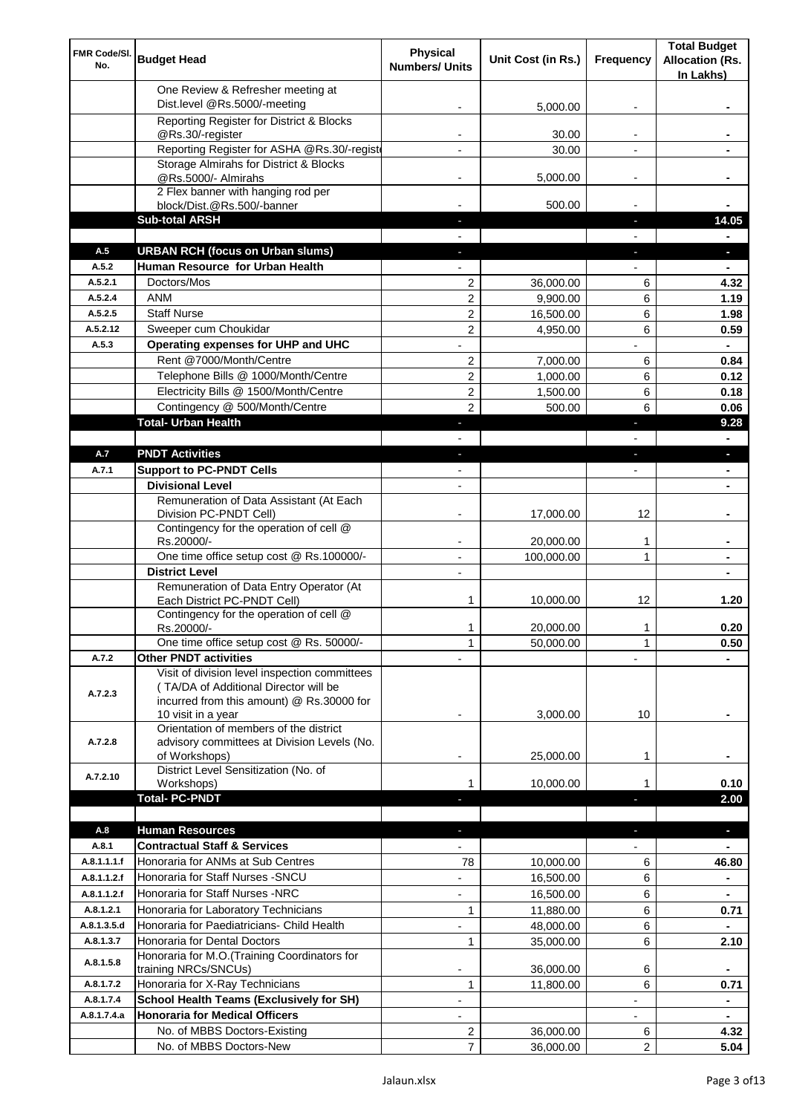| FMR Code/SI.<br>No.        | <b>Budget Head</b>                                                                                                                                        | <b>Physical</b><br><b>Numbers/ Units</b> | Unit Cost (in Rs.)     | Frequency                | <b>Total Budget</b><br><b>Allocation (Rs.</b><br>In Lakhs) |
|----------------------------|-----------------------------------------------------------------------------------------------------------------------------------------------------------|------------------------------------------|------------------------|--------------------------|------------------------------------------------------------|
|                            | One Review & Refresher meeting at<br>Dist.level @Rs.5000/-meeting                                                                                         |                                          | 5,000.00               |                          |                                                            |
|                            | Reporting Register for District & Blocks                                                                                                                  |                                          |                        |                          |                                                            |
|                            | @Rs.30/-register                                                                                                                                          |                                          | 30.00                  |                          |                                                            |
|                            | Reporting Register for ASHA @Rs.30/-regist                                                                                                                |                                          | 30.00                  |                          |                                                            |
|                            | Storage Almirahs for District & Blocks<br>@Rs.5000/- Almirahs                                                                                             | $\blacksquare$                           | 5,000.00               | $\overline{\phantom{a}}$ |                                                            |
|                            | 2 Flex banner with hanging rod per                                                                                                                        |                                          |                        |                          |                                                            |
|                            | block/Dist.@Rs.500/-banner                                                                                                                                |                                          | 500.00                 |                          |                                                            |
|                            | <b>Sub-total ARSH</b>                                                                                                                                     |                                          |                        | P.                       | 14.05                                                      |
| A.5                        | <b>URBAN RCH (focus on Urban slums)</b>                                                                                                                   |                                          |                        |                          | $\overline{\phantom{a}}$                                   |
| A.5.2                      | Human Resource for Urban Health                                                                                                                           |                                          |                        |                          |                                                            |
| A.5.2.1                    | Doctors/Mos                                                                                                                                               | 2                                        | 36,000.00              | 6                        | 4.32                                                       |
| A.5.2.4<br>A.5.2.5         | <b>ANM</b><br><b>Staff Nurse</b>                                                                                                                          | $\overline{2}$                           | 9,900.00               | 6                        | 1.19                                                       |
| A.5.2.12                   | Sweeper cum Choukidar                                                                                                                                     | 2<br>2                                   | 16,500.00<br>4,950.00  | 6<br>6                   | 1.98<br>0.59                                               |
| A.5.3                      | Operating expenses for UHP and UHC                                                                                                                        |                                          |                        |                          | $\blacksquare$                                             |
|                            | Rent @7000/Month/Centre                                                                                                                                   | 2                                        | 7,000.00               | 6                        | 0.84                                                       |
|                            | Telephone Bills @ 1000/Month/Centre                                                                                                                       | 2                                        | 1,000.00               | 6                        | 0.12                                                       |
|                            | Electricity Bills @ 1500/Month/Centre                                                                                                                     | 2                                        | 1,500.00               | 6                        | 0.18                                                       |
|                            | Contingency @ 500/Month/Centre                                                                                                                            | $\overline{2}$                           | 500.00                 | 6                        | 0.06                                                       |
|                            | <b>Total- Urban Health</b>                                                                                                                                | ٠                                        |                        | F                        | 9.28                                                       |
|                            |                                                                                                                                                           |                                          |                        |                          | $\blacksquare$                                             |
| A.7                        | <b>PNDT Activities</b>                                                                                                                                    | ٠                                        |                        | ٠                        | ٠                                                          |
| A.7.1                      | <b>Support to PC-PNDT Cells</b>                                                                                                                           | $\blacksquare$                           |                        | $\overline{\phantom{a}}$ | ٠                                                          |
|                            | <b>Divisional Level</b>                                                                                                                                   | $\overline{\phantom{a}}$                 |                        |                          | ۰                                                          |
|                            | Remuneration of Data Assistant (At Each<br>Division PC-PNDT Cell)                                                                                         |                                          | 17,000.00              | 12                       |                                                            |
|                            | Contingency for the operation of cell @<br>Rs.20000/-                                                                                                     |                                          | 20,000.00              | 1                        |                                                            |
|                            | One time office setup cost @ Rs.100000/-                                                                                                                  |                                          | 100,000.00             | 1                        |                                                            |
|                            | <b>District Level</b>                                                                                                                                     | $\blacksquare$                           |                        |                          |                                                            |
|                            | Remuneration of Data Entry Operator (At<br>Each District PC-PNDT Cell)                                                                                    | 1                                        | 10,000.00              | 12                       | 1.20                                                       |
|                            | Contingency for the operation of cell @<br>Rs.20000/-                                                                                                     | 1                                        | 20,000.00              | 1                        | 0.20                                                       |
|                            | One time office setup cost @ Rs. 50000/-                                                                                                                  | $\mathbf{1}$                             | 50,000.00              | 1                        | 0.50                                                       |
| A.7.2                      | <b>Other PNDT activities</b>                                                                                                                              |                                          |                        |                          |                                                            |
| A.7.2.3                    | Visit of division level inspection committees<br>(TA/DA of Additional Director will be<br>incurred from this amount) @ Rs.30000 for<br>10 visit in a year |                                          | 3,000.00               | 10                       |                                                            |
| A.7.2.8                    | Orientation of members of the district<br>advisory committees at Division Levels (No.<br>of Workshops)                                                    | $\overline{\phantom{a}}$                 | 25,000.00              | 1                        |                                                            |
| A.7.2.10                   | District Level Sensitization (No. of<br>Workshops)                                                                                                        |                                          | 10,000.00              | 1                        | 0.10                                                       |
|                            | <b>Total- PC-PNDT</b>                                                                                                                                     |                                          |                        |                          | 2.00                                                       |
|                            |                                                                                                                                                           |                                          |                        |                          |                                                            |
| A.8                        | <b>Human Resources</b>                                                                                                                                    |                                          |                        |                          | ÷.                                                         |
| A.8.1                      | <b>Contractual Staff &amp; Services</b>                                                                                                                   |                                          |                        |                          |                                                            |
| A.8.1.1.1.f<br>A.8.1.1.2.f | Honoraria for ANMs at Sub Centres<br>Honoraria for Staff Nurses - SNCU                                                                                    | 78                                       | 10,000.00<br>16,500.00 | 6<br>6                   | 46.80                                                      |
| A.8.1.1.2.f                | Honoraria for Staff Nurses -NRC                                                                                                                           | ÷,                                       |                        | 6                        |                                                            |
| A.8.1.2.1                  |                                                                                                                                                           | 1                                        | 16,500.00              | 6                        |                                                            |
| A.8.1.3.5.d                | Honoraria for Laboratory Technicians<br>Honoraria for Paediatricians- Child Health                                                                        |                                          | 11,880.00<br>48,000.00 | 6                        | 0.71                                                       |
| A.8.1.3.7                  | Honoraria for Dental Doctors                                                                                                                              | 1                                        | 35,000.00              | 6                        | 2.10                                                       |
| A.8.1.5.8                  | Honoraria for M.O.(Training Coordinators for<br>training NRCs/SNCUs)                                                                                      |                                          | 36,000.00              | 6                        |                                                            |
| A.8.1.7.2                  | Honoraria for X-Ray Technicians                                                                                                                           | 1                                        | 11,800.00              | 6                        | 0.71                                                       |
| A.8.1.7.4                  | <b>School Health Teams (Exclusively for SH)</b>                                                                                                           |                                          |                        |                          | ۰                                                          |
| A.8.1.7.4.a                | <b>Honoraria for Medical Officers</b>                                                                                                                     |                                          |                        |                          |                                                            |
|                            | No. of MBBS Doctors-Existing                                                                                                                              | 2                                        | 36,000.00              | 6                        | 4.32                                                       |
|                            | No. of MBBS Doctors-New                                                                                                                                   | 7                                        | 36,000.00              | 2                        | 5.04                                                       |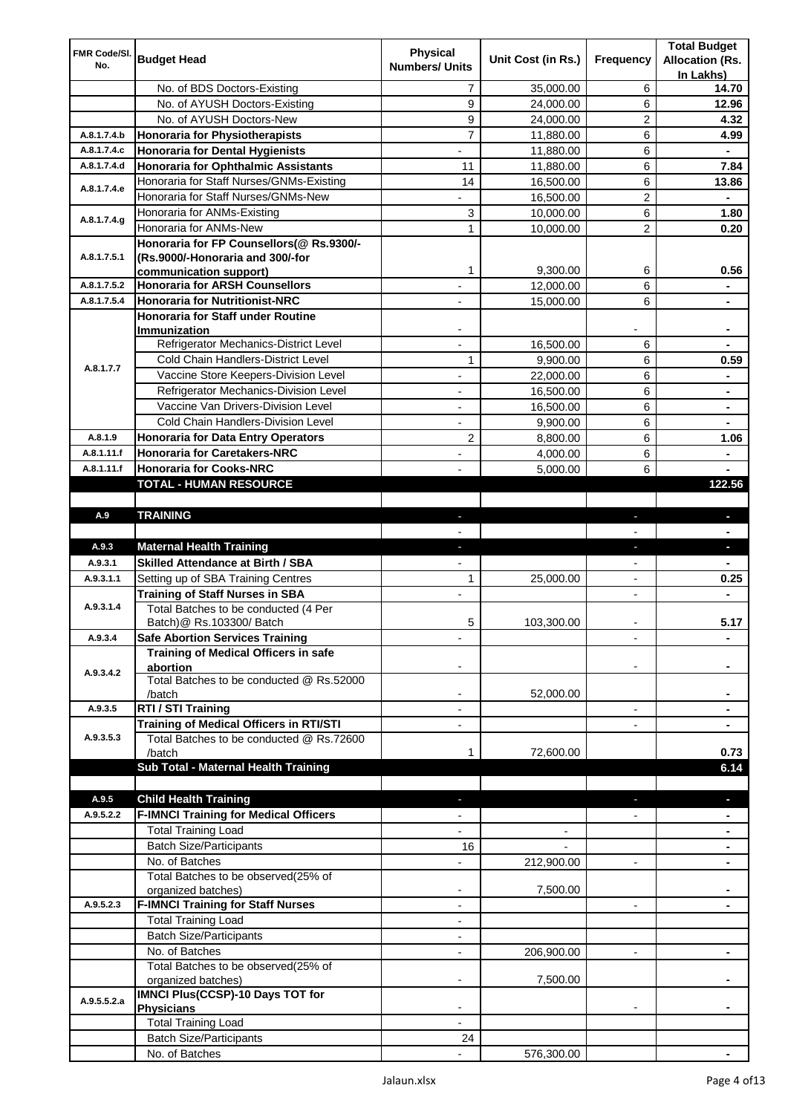| <b>Physical</b><br>FMR Code/SI.<br><b>Budget Head</b><br>Unit Cost (in Rs.)<br>Frequency<br>No.<br><b>Numbers/ Units</b><br>No. of BDS Doctors-Existing<br>7<br>35,000.00<br>6<br>9<br>No. of AYUSH Doctors-Existing<br>6<br>24,000.00<br>No. of AYUSH Doctors-New<br>9<br>2<br>24,000.00<br>$\overline{7}$<br><b>Honoraria for Physiotherapists</b><br>A.8.1.7.4.b<br>6<br>11,880.00<br>6<br>A.8.1.7.4.c<br><b>Honoraria for Dental Hygienists</b><br>11,880.00<br>A.8.1.7.4.d<br><b>Honoraria for Ophthalmic Assistants</b><br>6<br>11<br>11,880.00<br>6<br>Honoraria for Staff Nurses/GNMs-Existing<br>14<br>16,500.00<br>A.8.1.7.4.e<br>$\overline{c}$<br>Honoraria for Staff Nurses/GNMs-New<br>16,500.00<br>6<br>3<br>Honoraria for ANMs-Existing<br>10,000.00<br>A.8.1.7.4.g<br>2<br>Honoraria for ANMs-New<br>1<br>10,000.00<br>Honoraria for FP Counsellors(@ Rs.9300/-<br>A.8.1.7.5.1<br>(Rs.9000/-Honoraria and 300/-for<br>1<br>9,300.00<br>6<br>communication support)<br><b>Honoraria for ARSH Counsellors</b><br>A.8.1.7.5.2<br>6<br>12,000.00<br>6<br>A.8.1.7.5.4<br><b>Honoraria for Nutritionist-NRC</b><br>15,000.00<br>Honoraria for Staff under Routine<br>Immunization |         |                                          |  | <b>Allocation (Rs.</b> |
|----------------------------------------------------------------------------------------------------------------------------------------------------------------------------------------------------------------------------------------------------------------------------------------------------------------------------------------------------------------------------------------------------------------------------------------------------------------------------------------------------------------------------------------------------------------------------------------------------------------------------------------------------------------------------------------------------------------------------------------------------------------------------------------------------------------------------------------------------------------------------------------------------------------------------------------------------------------------------------------------------------------------------------------------------------------------------------------------------------------------------------------------------------------------------------------------|---------|------------------------------------------|--|------------------------|
|                                                                                                                                                                                                                                                                                                                                                                                                                                                                                                                                                                                                                                                                                                                                                                                                                                                                                                                                                                                                                                                                                                                                                                                              |         |                                          |  |                        |
|                                                                                                                                                                                                                                                                                                                                                                                                                                                                                                                                                                                                                                                                                                                                                                                                                                                                                                                                                                                                                                                                                                                                                                                              |         |                                          |  | In Lakhs)              |
|                                                                                                                                                                                                                                                                                                                                                                                                                                                                                                                                                                                                                                                                                                                                                                                                                                                                                                                                                                                                                                                                                                                                                                                              |         |                                          |  | 14.70                  |
|                                                                                                                                                                                                                                                                                                                                                                                                                                                                                                                                                                                                                                                                                                                                                                                                                                                                                                                                                                                                                                                                                                                                                                                              |         |                                          |  | 12.96                  |
|                                                                                                                                                                                                                                                                                                                                                                                                                                                                                                                                                                                                                                                                                                                                                                                                                                                                                                                                                                                                                                                                                                                                                                                              |         |                                          |  | 4.32                   |
|                                                                                                                                                                                                                                                                                                                                                                                                                                                                                                                                                                                                                                                                                                                                                                                                                                                                                                                                                                                                                                                                                                                                                                                              |         |                                          |  | 4.99                   |
|                                                                                                                                                                                                                                                                                                                                                                                                                                                                                                                                                                                                                                                                                                                                                                                                                                                                                                                                                                                                                                                                                                                                                                                              |         |                                          |  |                        |
|                                                                                                                                                                                                                                                                                                                                                                                                                                                                                                                                                                                                                                                                                                                                                                                                                                                                                                                                                                                                                                                                                                                                                                                              |         |                                          |  | 7.84                   |
|                                                                                                                                                                                                                                                                                                                                                                                                                                                                                                                                                                                                                                                                                                                                                                                                                                                                                                                                                                                                                                                                                                                                                                                              |         |                                          |  | 13.86                  |
|                                                                                                                                                                                                                                                                                                                                                                                                                                                                                                                                                                                                                                                                                                                                                                                                                                                                                                                                                                                                                                                                                                                                                                                              |         |                                          |  |                        |
|                                                                                                                                                                                                                                                                                                                                                                                                                                                                                                                                                                                                                                                                                                                                                                                                                                                                                                                                                                                                                                                                                                                                                                                              |         |                                          |  | 1.80                   |
|                                                                                                                                                                                                                                                                                                                                                                                                                                                                                                                                                                                                                                                                                                                                                                                                                                                                                                                                                                                                                                                                                                                                                                                              |         |                                          |  | 0.20                   |
|                                                                                                                                                                                                                                                                                                                                                                                                                                                                                                                                                                                                                                                                                                                                                                                                                                                                                                                                                                                                                                                                                                                                                                                              |         |                                          |  |                        |
|                                                                                                                                                                                                                                                                                                                                                                                                                                                                                                                                                                                                                                                                                                                                                                                                                                                                                                                                                                                                                                                                                                                                                                                              |         |                                          |  |                        |
|                                                                                                                                                                                                                                                                                                                                                                                                                                                                                                                                                                                                                                                                                                                                                                                                                                                                                                                                                                                                                                                                                                                                                                                              |         |                                          |  | 0.56                   |
|                                                                                                                                                                                                                                                                                                                                                                                                                                                                                                                                                                                                                                                                                                                                                                                                                                                                                                                                                                                                                                                                                                                                                                                              |         |                                          |  |                        |
|                                                                                                                                                                                                                                                                                                                                                                                                                                                                                                                                                                                                                                                                                                                                                                                                                                                                                                                                                                                                                                                                                                                                                                                              |         |                                          |  |                        |
|                                                                                                                                                                                                                                                                                                                                                                                                                                                                                                                                                                                                                                                                                                                                                                                                                                                                                                                                                                                                                                                                                                                                                                                              |         |                                          |  |                        |
|                                                                                                                                                                                                                                                                                                                                                                                                                                                                                                                                                                                                                                                                                                                                                                                                                                                                                                                                                                                                                                                                                                                                                                                              |         |                                          |  |                        |
| Refrigerator Mechanics-District Level<br>6<br>16,500.00                                                                                                                                                                                                                                                                                                                                                                                                                                                                                                                                                                                                                                                                                                                                                                                                                                                                                                                                                                                                                                                                                                                                      |         |                                          |  |                        |
| Cold Chain Handlers-District Level<br>1<br>6<br>9,900.00<br>A.8.1.7.7                                                                                                                                                                                                                                                                                                                                                                                                                                                                                                                                                                                                                                                                                                                                                                                                                                                                                                                                                                                                                                                                                                                        |         |                                          |  | 0.59                   |
| Vaccine Store Keepers-Division Level<br>6<br>22,000.00                                                                                                                                                                                                                                                                                                                                                                                                                                                                                                                                                                                                                                                                                                                                                                                                                                                                                                                                                                                                                                                                                                                                       |         |                                          |  |                        |
| Refrigerator Mechanics-Division Level<br>16,500.00<br>6<br>$\blacksquare$                                                                                                                                                                                                                                                                                                                                                                                                                                                                                                                                                                                                                                                                                                                                                                                                                                                                                                                                                                                                                                                                                                                    |         |                                          |  | ۰                      |
| Vaccine Van Drivers-Division Level<br>16,500.00<br>6<br>÷,                                                                                                                                                                                                                                                                                                                                                                                                                                                                                                                                                                                                                                                                                                                                                                                                                                                                                                                                                                                                                                                                                                                                   |         |                                          |  | $\blacksquare$         |
| Cold Chain Handlers-Division Level<br>9,900.00<br>6<br>$\overline{\phantom{a}}$                                                                                                                                                                                                                                                                                                                                                                                                                                                                                                                                                                                                                                                                                                                                                                                                                                                                                                                                                                                                                                                                                                              |         |                                          |  | ۰                      |
| 2<br>A.8.1.9<br><b>Honoraria for Data Entry Operators</b><br>6<br>8,800.00                                                                                                                                                                                                                                                                                                                                                                                                                                                                                                                                                                                                                                                                                                                                                                                                                                                                                                                                                                                                                                                                                                                   |         |                                          |  | 1.06                   |
| A.8.1.11.f<br><b>Honoraria for Caretakers-NRC</b><br>6<br>4,000.00<br>$\blacksquare$                                                                                                                                                                                                                                                                                                                                                                                                                                                                                                                                                                                                                                                                                                                                                                                                                                                                                                                                                                                                                                                                                                         |         |                                          |  | ä,                     |
| <b>Honoraria for Cooks-NRC</b><br>A.8.1.11.f<br>6<br>5,000.00                                                                                                                                                                                                                                                                                                                                                                                                                                                                                                                                                                                                                                                                                                                                                                                                                                                                                                                                                                                                                                                                                                                                |         |                                          |  |                        |
| TOTAL - HUMAN RESOURCE                                                                                                                                                                                                                                                                                                                                                                                                                                                                                                                                                                                                                                                                                                                                                                                                                                                                                                                                                                                                                                                                                                                                                                       |         |                                          |  | 122.56                 |
|                                                                                                                                                                                                                                                                                                                                                                                                                                                                                                                                                                                                                                                                                                                                                                                                                                                                                                                                                                                                                                                                                                                                                                                              |         |                                          |  |                        |
| <b>TRAINING</b><br>A.9<br>٠<br>٠                                                                                                                                                                                                                                                                                                                                                                                                                                                                                                                                                                                                                                                                                                                                                                                                                                                                                                                                                                                                                                                                                                                                                             |         |                                          |  | $\blacksquare$         |
|                                                                                                                                                                                                                                                                                                                                                                                                                                                                                                                                                                                                                                                                                                                                                                                                                                                                                                                                                                                                                                                                                                                                                                                              |         |                                          |  |                        |
| A.9.3<br><b>Maternal Health Training</b><br>٠<br>٠                                                                                                                                                                                                                                                                                                                                                                                                                                                                                                                                                                                                                                                                                                                                                                                                                                                                                                                                                                                                                                                                                                                                           |         |                                          |  | ٠                      |
|                                                                                                                                                                                                                                                                                                                                                                                                                                                                                                                                                                                                                                                                                                                                                                                                                                                                                                                                                                                                                                                                                                                                                                                              | A.9.3.1 | <b>Skilled Attendance at Birth / SBA</b> |  |                        |
|                                                                                                                                                                                                                                                                                                                                                                                                                                                                                                                                                                                                                                                                                                                                                                                                                                                                                                                                                                                                                                                                                                                                                                                              |         |                                          |  |                        |
| A.9.3.1.1<br>Setting up of SBA Training Centres<br>1<br>25,000.00<br>$\overline{\phantom{a}}$                                                                                                                                                                                                                                                                                                                                                                                                                                                                                                                                                                                                                                                                                                                                                                                                                                                                                                                                                                                                                                                                                                |         |                                          |  | 0.25                   |
| <b>Training of Staff Nurses in SBA</b><br>$\overline{\phantom{a}}$<br>$\overline{\phantom{0}}$                                                                                                                                                                                                                                                                                                                                                                                                                                                                                                                                                                                                                                                                                                                                                                                                                                                                                                                                                                                                                                                                                               |         |                                          |  |                        |
| A.9.3.1.4<br>Total Batches to be conducted (4 Per                                                                                                                                                                                                                                                                                                                                                                                                                                                                                                                                                                                                                                                                                                                                                                                                                                                                                                                                                                                                                                                                                                                                            |         |                                          |  |                        |
| 5<br>103,300.00<br>Batch) @ Rs.103300/ Batch                                                                                                                                                                                                                                                                                                                                                                                                                                                                                                                                                                                                                                                                                                                                                                                                                                                                                                                                                                                                                                                                                                                                                 |         |                                          |  | 5.17                   |
| <b>Safe Abortion Services Training</b><br>A.9.3.4                                                                                                                                                                                                                                                                                                                                                                                                                                                                                                                                                                                                                                                                                                                                                                                                                                                                                                                                                                                                                                                                                                                                            |         |                                          |  |                        |
| Training of Medical Officers in safe                                                                                                                                                                                                                                                                                                                                                                                                                                                                                                                                                                                                                                                                                                                                                                                                                                                                                                                                                                                                                                                                                                                                                         |         |                                          |  |                        |
| abortion<br>A.9.3.4.2                                                                                                                                                                                                                                                                                                                                                                                                                                                                                                                                                                                                                                                                                                                                                                                                                                                                                                                                                                                                                                                                                                                                                                        |         |                                          |  |                        |
| Total Batches to be conducted @ Rs.52000                                                                                                                                                                                                                                                                                                                                                                                                                                                                                                                                                                                                                                                                                                                                                                                                                                                                                                                                                                                                                                                                                                                                                     |         |                                          |  |                        |
| 52,000.00<br>/batch                                                                                                                                                                                                                                                                                                                                                                                                                                                                                                                                                                                                                                                                                                                                                                                                                                                                                                                                                                                                                                                                                                                                                                          |         |                                          |  |                        |
| RTI / STI Training<br>A.9.3.5<br>$\overline{a}$                                                                                                                                                                                                                                                                                                                                                                                                                                                                                                                                                                                                                                                                                                                                                                                                                                                                                                                                                                                                                                                                                                                                              |         |                                          |  |                        |
| Training of Medical Officers in RTI/STI                                                                                                                                                                                                                                                                                                                                                                                                                                                                                                                                                                                                                                                                                                                                                                                                                                                                                                                                                                                                                                                                                                                                                      |         |                                          |  |                        |
| A.9.3.5.3<br>Total Batches to be conducted @ Rs.72600                                                                                                                                                                                                                                                                                                                                                                                                                                                                                                                                                                                                                                                                                                                                                                                                                                                                                                                                                                                                                                                                                                                                        |         |                                          |  |                        |
| 72,600.00<br>/batch<br>1                                                                                                                                                                                                                                                                                                                                                                                                                                                                                                                                                                                                                                                                                                                                                                                                                                                                                                                                                                                                                                                                                                                                                                     |         |                                          |  | 0.73                   |
| Sub Total - Maternal Health Training                                                                                                                                                                                                                                                                                                                                                                                                                                                                                                                                                                                                                                                                                                                                                                                                                                                                                                                                                                                                                                                                                                                                                         |         |                                          |  | 6.14                   |
|                                                                                                                                                                                                                                                                                                                                                                                                                                                                                                                                                                                                                                                                                                                                                                                                                                                                                                                                                                                                                                                                                                                                                                                              |         |                                          |  |                        |
| A.9.5<br><b>Child Health Training</b>                                                                                                                                                                                                                                                                                                                                                                                                                                                                                                                                                                                                                                                                                                                                                                                                                                                                                                                                                                                                                                                                                                                                                        |         |                                          |  |                        |
| <b>F-IMNCI Training for Medical Officers</b><br>A.9.5.2.2                                                                                                                                                                                                                                                                                                                                                                                                                                                                                                                                                                                                                                                                                                                                                                                                                                                                                                                                                                                                                                                                                                                                    |         |                                          |  |                        |
| <b>Total Training Load</b>                                                                                                                                                                                                                                                                                                                                                                                                                                                                                                                                                                                                                                                                                                                                                                                                                                                                                                                                                                                                                                                                                                                                                                   |         |                                          |  |                        |
| <b>Batch Size/Participants</b><br>16                                                                                                                                                                                                                                                                                                                                                                                                                                                                                                                                                                                                                                                                                                                                                                                                                                                                                                                                                                                                                                                                                                                                                         |         |                                          |  |                        |
| No. of Batches<br>212,900.00<br>$\overline{a}$                                                                                                                                                                                                                                                                                                                                                                                                                                                                                                                                                                                                                                                                                                                                                                                                                                                                                                                                                                                                                                                                                                                                               |         |                                          |  |                        |
| Total Batches to be observed(25% of                                                                                                                                                                                                                                                                                                                                                                                                                                                                                                                                                                                                                                                                                                                                                                                                                                                                                                                                                                                                                                                                                                                                                          |         |                                          |  |                        |
| 7,500.00<br>organized batches)<br>$\overline{\phantom{a}}$                                                                                                                                                                                                                                                                                                                                                                                                                                                                                                                                                                                                                                                                                                                                                                                                                                                                                                                                                                                                                                                                                                                                   |         |                                          |  |                        |
| A.9.5.2.3<br><b>F-IMNCI Training for Staff Nurses</b><br>$\overline{\phantom{a}}$<br>$\overline{\phantom{a}}$                                                                                                                                                                                                                                                                                                                                                                                                                                                                                                                                                                                                                                                                                                                                                                                                                                                                                                                                                                                                                                                                                |         |                                          |  | ۰                      |
| <b>Total Training Load</b><br>$\overline{\phantom{a}}$                                                                                                                                                                                                                                                                                                                                                                                                                                                                                                                                                                                                                                                                                                                                                                                                                                                                                                                                                                                                                                                                                                                                       |         |                                          |  |                        |
| <b>Batch Size/Participants</b>                                                                                                                                                                                                                                                                                                                                                                                                                                                                                                                                                                                                                                                                                                                                                                                                                                                                                                                                                                                                                                                                                                                                                               |         |                                          |  |                        |
| No. of Batches<br>206,900.00<br>$\overline{\phantom{a}}$<br>$\overline{\phantom{a}}$                                                                                                                                                                                                                                                                                                                                                                                                                                                                                                                                                                                                                                                                                                                                                                                                                                                                                                                                                                                                                                                                                                         |         |                                          |  | ۰                      |
| Total Batches to be observed(25% of                                                                                                                                                                                                                                                                                                                                                                                                                                                                                                                                                                                                                                                                                                                                                                                                                                                                                                                                                                                                                                                                                                                                                          |         |                                          |  |                        |
| 7,500.00<br>organized batches)                                                                                                                                                                                                                                                                                                                                                                                                                                                                                                                                                                                                                                                                                                                                                                                                                                                                                                                                                                                                                                                                                                                                                               |         |                                          |  |                        |
| IMNCI Plus(CCSP)-10 Days TOT for<br>A.9.5.5.2.a                                                                                                                                                                                                                                                                                                                                                                                                                                                                                                                                                                                                                                                                                                                                                                                                                                                                                                                                                                                                                                                                                                                                              |         |                                          |  |                        |
| <b>Physicians</b>                                                                                                                                                                                                                                                                                                                                                                                                                                                                                                                                                                                                                                                                                                                                                                                                                                                                                                                                                                                                                                                                                                                                                                            |         |                                          |  |                        |
| <b>Total Training Load</b><br><b>Batch Size/Participants</b><br>24                                                                                                                                                                                                                                                                                                                                                                                                                                                                                                                                                                                                                                                                                                                                                                                                                                                                                                                                                                                                                                                                                                                           |         |                                          |  |                        |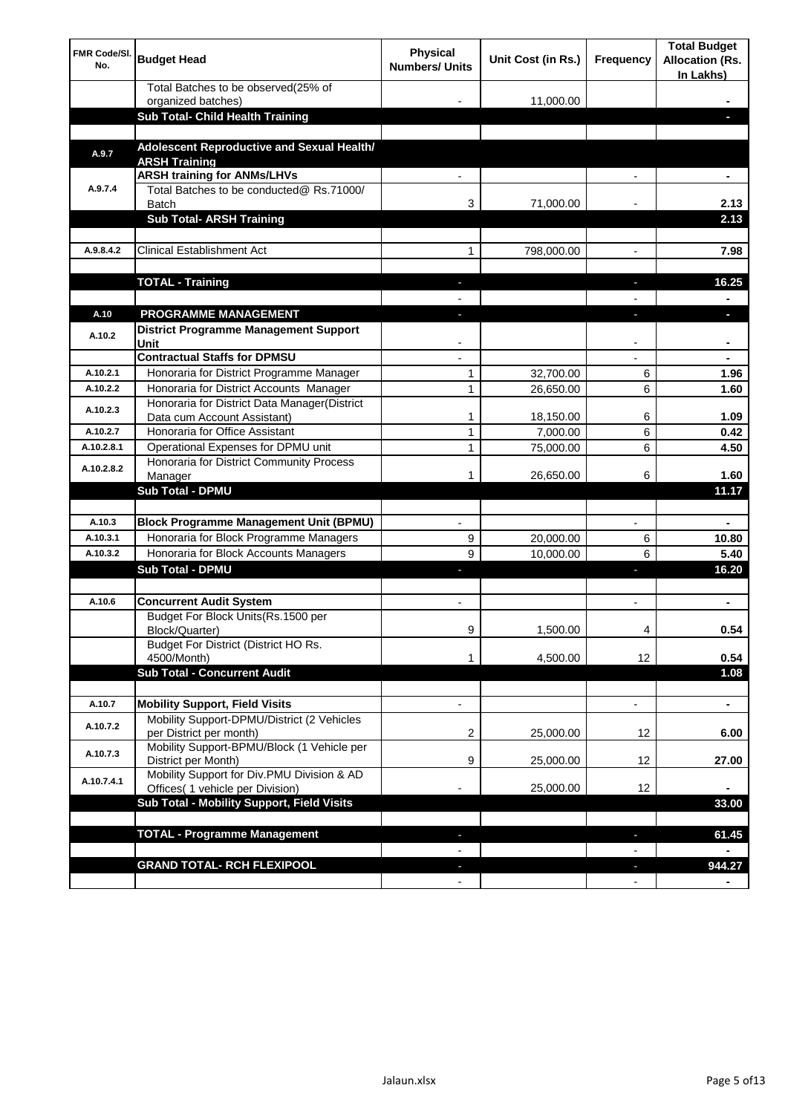| <b>FMR Code/SI.</b><br>No. | <b>Budget Head</b>                                                             | Physical<br><b>Numbers/ Units</b> | Unit Cost (in Rs.) | Frequency                | <b>Total Budget</b><br><b>Allocation (Rs.</b><br>In Lakhs) |
|----------------------------|--------------------------------------------------------------------------------|-----------------------------------|--------------------|--------------------------|------------------------------------------------------------|
|                            | Total Batches to be observed(25% of                                            |                                   |                    |                          |                                                            |
|                            | organized batches)<br>Sub Total- Child Health Training                         |                                   | 11,000.00          |                          |                                                            |
|                            |                                                                                |                                   |                    |                          |                                                            |
| A.9.7                      | Adolescent Reproductive and Sexual Health/<br><b>ARSH Training</b>             |                                   |                    |                          |                                                            |
|                            | <b>ARSH training for ANMs/LHVs</b>                                             |                                   |                    |                          |                                                            |
| A.9.7.4                    | Total Batches to be conducted@ Rs.71000/<br><b>Batch</b>                       | 3                                 | 71,000.00          |                          | 2.13                                                       |
|                            | <b>Sub Total- ARSH Training</b>                                                |                                   |                    |                          | 2.13                                                       |
|                            |                                                                                |                                   |                    |                          |                                                            |
| A.9.8.4.2                  | <b>Clinical Establishment Act</b>                                              | 1                                 | 798,000.00         |                          | 7.98                                                       |
|                            |                                                                                |                                   |                    |                          |                                                            |
|                            | <b>TOTAL - Training</b>                                                        |                                   |                    |                          | 16.25                                                      |
|                            |                                                                                |                                   |                    |                          |                                                            |
| A.10                       | <b>PROGRAMME MANAGEMENT</b>                                                    |                                   |                    |                          |                                                            |
| A.10.2                     | District Programme Management Support                                          |                                   |                    |                          |                                                            |
|                            | Unit<br><b>Contractual Staffs for DPMSU</b>                                    |                                   |                    |                          |                                                            |
| A.10.2.1                   | Honoraria for District Programme Manager                                       | 1                                 | 32,700.00          | 6                        | 1.96                                                       |
| A.10.2.2                   | Honoraria for District Accounts Manager                                        | 1                                 | 26,650.00          | 6                        | 1.60                                                       |
| A.10.2.3                   | Honoraria for District Data Manager(District                                   |                                   |                    |                          |                                                            |
|                            | Data cum Account Assistant)                                                    | 1                                 | 18,150.00          | 6                        | 1.09                                                       |
| A.10.2.7                   | Honoraria for Office Assistant                                                 | 1                                 | 7,000.00           | 6                        | 0.42                                                       |
| A.10.2.8.1                 | Operational Expenses for DPMU unit<br>Honoraria for District Community Process | 1                                 | 75,000.00          | 6                        | 4.50                                                       |
| A.10.2.8.2                 | Manager                                                                        | 1                                 | 26,650.00          | 6                        | 1.60                                                       |
|                            | <b>Sub Total - DPMU</b>                                                        |                                   |                    |                          | 11.17                                                      |
|                            |                                                                                |                                   |                    |                          |                                                            |
| A.10.3                     | <b>Block Programme Management Unit (BPMU)</b>                                  | $\blacksquare$                    |                    | $\overline{\phantom{a}}$ | $\blacksquare$                                             |
| A.10.3.1                   | Honoraria for Block Programme Managers                                         | 9                                 | 20,000.00          | 6                        | 10.80                                                      |
| A.10.3.2                   | Honoraria for Block Accounts Managers                                          | 9                                 | 10,000.00          | 6                        | 5.40                                                       |
|                            | <b>Sub Total - DPMU</b>                                                        | J,                                |                    | J,                       | 16.20                                                      |
|                            |                                                                                |                                   |                    |                          |                                                            |
| A.10.6                     | <b>Concurrent Audit System</b><br>Budget For Block Units(Rs. 1500 per          | $\blacksquare$                    |                    | $\blacksquare$           | ۰                                                          |
|                            | Block/Quarter)                                                                 | 9                                 | 1,500.00           | 4                        | 0.54                                                       |
|                            | Budget For District (District HO Rs.                                           |                                   |                    |                          |                                                            |
|                            | 4500/Month)                                                                    | 1                                 | 4,500.00           | 12                       | 0.54                                                       |
|                            | <b>Sub Total - Concurrent Audit</b>                                            |                                   |                    |                          | 1.08                                                       |
| A.10.7                     | <b>Mobility Support, Field Visits</b>                                          | $\overline{\phantom{a}}$          |                    | $\overline{\phantom{a}}$ | ۰                                                          |
|                            | Mobility Support-DPMU/District (2 Vehicles                                     |                                   |                    |                          |                                                            |
| A.10.7.2                   | per District per month)                                                        | 2                                 | 25,000.00          | 12                       | 6.00                                                       |
| A.10.7.3                   | Mobility Support-BPMU/Block (1 Vehicle per                                     |                                   |                    |                          |                                                            |
|                            | District per Month)<br>Mobility Support for Div.PMU Division & AD              | 9                                 | 25,000.00          | 12                       | 27.00                                                      |
| A.10.7.4.1                 | Offices( 1 vehicle per Division)                                               |                                   | 25,000.00          | 12                       |                                                            |
|                            | Sub Total - Mobility Support, Field Visits                                     |                                   |                    |                          | 33.00                                                      |
|                            |                                                                                |                                   |                    |                          |                                                            |
|                            | <b>TOTAL - Programme Management</b>                                            |                                   |                    | r.                       | 61.45                                                      |
|                            |                                                                                |                                   |                    |                          |                                                            |
|                            | <b>GRAND TOTAL- RCH FLEXIPOOL</b>                                              |                                   |                    | J,                       | 944.27                                                     |
|                            |                                                                                |                                   |                    | $\blacksquare$           |                                                            |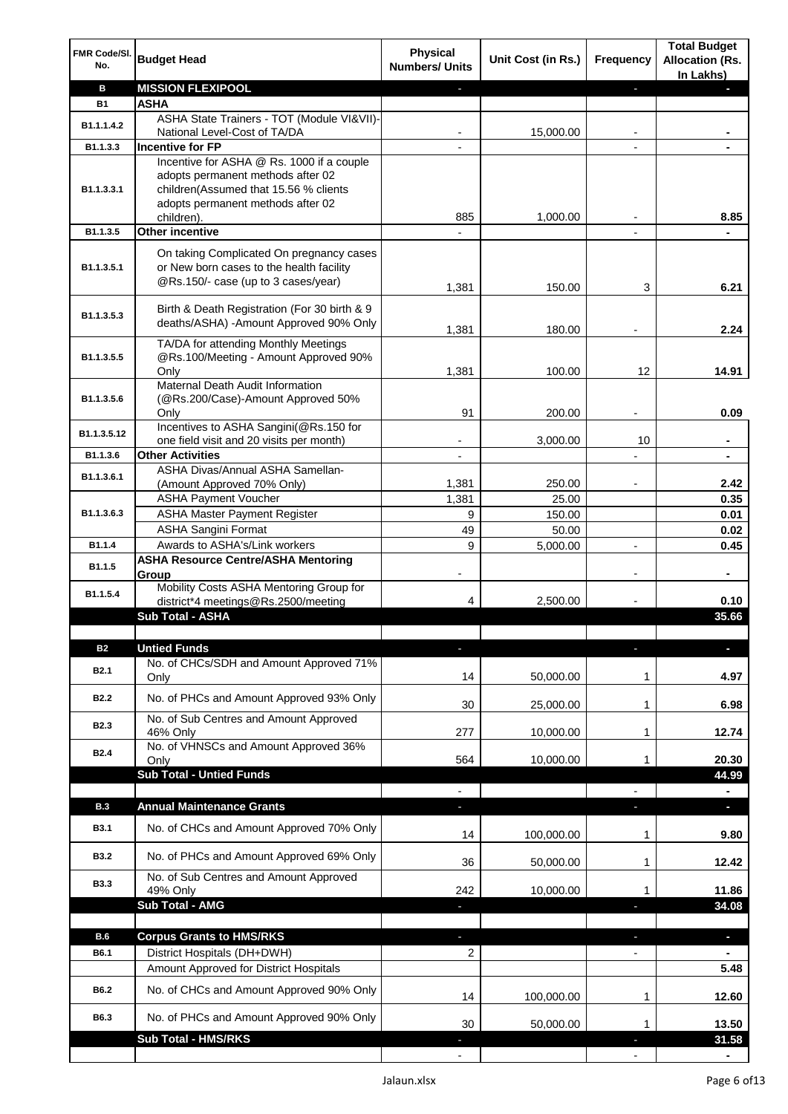| FMR Code/SI.<br>No. | <b>Budget Head</b>                                                                                                          | <b>Physical</b><br><b>Numbers/ Units</b> | Unit Cost (in Rs.) | Frequency                | <b>Total Budget</b><br><b>Allocation (Rs.</b><br>In Lakhs) |
|---------------------|-----------------------------------------------------------------------------------------------------------------------------|------------------------------------------|--------------------|--------------------------|------------------------------------------------------------|
| в                   | <b>MISSION FLEXIPOOL</b>                                                                                                    |                                          |                    | ٠                        |                                                            |
| <b>B1</b>           | ASHA                                                                                                                        |                                          |                    |                          |                                                            |
| B1.1.1.4.2          | ASHA State Trainers - TOT (Module VI&VII)-                                                                                  |                                          |                    |                          |                                                            |
|                     | National Level-Cost of TA/DA                                                                                                |                                          | 15,000.00          |                          |                                                            |
| B1.1.3.3            | <b>Incentive for FP</b><br>Incentive for ASHA @ Rs. 1000 if a couple                                                        |                                          |                    |                          |                                                            |
| B1.1.3.3.1          | adopts permanent methods after 02<br>children(Assumed that 15.56 % clients<br>adopts permanent methods after 02             | 885                                      | 1,000.00           |                          | 8.85                                                       |
| B1.1.3.5            | children).<br>Other incentive                                                                                               |                                          |                    |                          |                                                            |
|                     |                                                                                                                             |                                          |                    |                          |                                                            |
| B1.1.3.5.1          | On taking Complicated On pregnancy cases<br>or New born cases to the health facility<br>@Rs.150/- case (up to 3 cases/year) | 1,381                                    | 150.00             | 3                        | 6.21                                                       |
| B1.1.3.5.3          | Birth & Death Registration (For 30 birth & 9<br>deaths/ASHA) -Amount Approved 90% Only                                      | 1,381                                    | 180.00             |                          | 2.24                                                       |
| B1.1.3.5.5          | TA/DA for attending Monthly Meetings<br>@Rs.100/Meeting - Amount Approved 90%<br>Only                                       | 1,381                                    | 100.00             | 12                       | 14.91                                                      |
|                     | Maternal Death Audit Information                                                                                            |                                          |                    |                          |                                                            |
| B1.1.3.5.6          | (@Rs.200/Case)-Amount Approved 50%                                                                                          |                                          |                    |                          |                                                            |
|                     | Only                                                                                                                        | 91                                       | 200.00             |                          | 0.09                                                       |
| B1.1.3.5.12         | Incentives to ASHA Sangini(@Rs.150 for                                                                                      |                                          | 3,000.00           | 10                       |                                                            |
| B1.1.3.6            | one field visit and 20 visits per month)<br><b>Other Activities</b>                                                         |                                          |                    |                          |                                                            |
|                     | ASHA Divas/Annual ASHA Samellan-                                                                                            |                                          |                    |                          |                                                            |
| B1.1.3.6.1          | (Amount Approved 70% Only)                                                                                                  | 1,381                                    | 250.00             |                          | 2.42                                                       |
|                     | <b>ASHA Payment Voucher</b>                                                                                                 | 1,381                                    | 25.00              |                          | 0.35                                                       |
| B1.1.3.6.3          | <b>ASHA Master Payment Register</b>                                                                                         | 9                                        | 150.00             |                          | 0.01                                                       |
|                     | <b>ASHA Sangini Format</b>                                                                                                  | 49                                       | 50.00              |                          | 0.02                                                       |
| B1.1.4              | Awards to ASHA's/Link workers                                                                                               | 9                                        | 5,000.00           | $\overline{a}$           | 0.45                                                       |
| B1.1.5              | <b>ASHA Resource Centre/ASHA Mentoring</b><br>Group<br>Mobility Costs ASHA Mentoring Group for                              | -                                        |                    | $\overline{\phantom{a}}$ | $\blacksquare$                                             |
| B1.1.5.4            | district*4 meetings@Rs.2500/meeting                                                                                         | 4                                        | 2,500.00           |                          | 0.10                                                       |
|                     | Sub Total - ASHA                                                                                                            |                                          |                    |                          | 35.66                                                      |
|                     |                                                                                                                             |                                          |                    |                          |                                                            |
| <b>B2</b>           | <b>Untied Funds</b>                                                                                                         |                                          |                    |                          |                                                            |
| B <sub>2.1</sub>    | No. of CHCs/SDH and Amount Approved 71%<br>Only                                                                             | 14                                       | 50,000.00          | 1                        | 4.97                                                       |
| <b>B2.2</b>         | No. of PHCs and Amount Approved 93% Only                                                                                    | 30                                       | 25,000.00          | 1                        | 6.98                                                       |
|                     | No. of Sub Centres and Amount Approved                                                                                      |                                          |                    |                          |                                                            |
| B <sub>2.3</sub>    | 46% Only                                                                                                                    | 277                                      | 10,000.00          | 1                        | 12.74                                                      |
| B <sub>2.4</sub>    | No. of VHNSCs and Amount Approved 36%                                                                                       |                                          |                    |                          |                                                            |
|                     | Only                                                                                                                        | 564                                      | 10,000.00          | 1                        | 20.30                                                      |
|                     | <b>Sub Total - Untied Funds</b>                                                                                             |                                          |                    |                          | 44.99                                                      |
|                     | <b>Annual Maintenance Grants</b>                                                                                            |                                          |                    |                          |                                                            |
| <b>B.3</b>          |                                                                                                                             | ÷.                                       |                    |                          | J.                                                         |
| <b>B3.1</b>         | No. of CHCs and Amount Approved 70% Only                                                                                    | 14                                       | 100,000.00         | 1                        | 9.80                                                       |
| <b>B3.2</b>         | No. of PHCs and Amount Approved 69% Only                                                                                    | 36                                       | 50,000.00          | 1                        | 12.42                                                      |
| <b>B3.3</b>         | No. of Sub Centres and Amount Approved<br>49% Only                                                                          | 242                                      | 10,000.00          | 1                        | 11.86                                                      |
|                     | Sub Total - AMG                                                                                                             |                                          |                    |                          | 34.08                                                      |
|                     |                                                                                                                             |                                          |                    |                          |                                                            |
| <b>B.6</b>          | <b>Corpus Grants to HMS/RKS</b>                                                                                             | ÷.                                       |                    | J,                       | ٠                                                          |
| B6.1                | District Hospitals (DH+DWH)<br>Amount Approved for District Hospitals                                                       | 2                                        |                    |                          |                                                            |
|                     |                                                                                                                             |                                          |                    |                          | 5.48                                                       |
| B6.2                | No. of CHCs and Amount Approved 90% Only                                                                                    | 14                                       | 100,000.00         | $\mathbf{1}$             | 12.60                                                      |
| B6.3                | No. of PHCs and Amount Approved 90% Only                                                                                    | 30                                       | 50,000.00          | 1                        | 13.50                                                      |
|                     | <b>Sub Total - HMS/RKS</b>                                                                                                  |                                          |                    |                          | 31.58                                                      |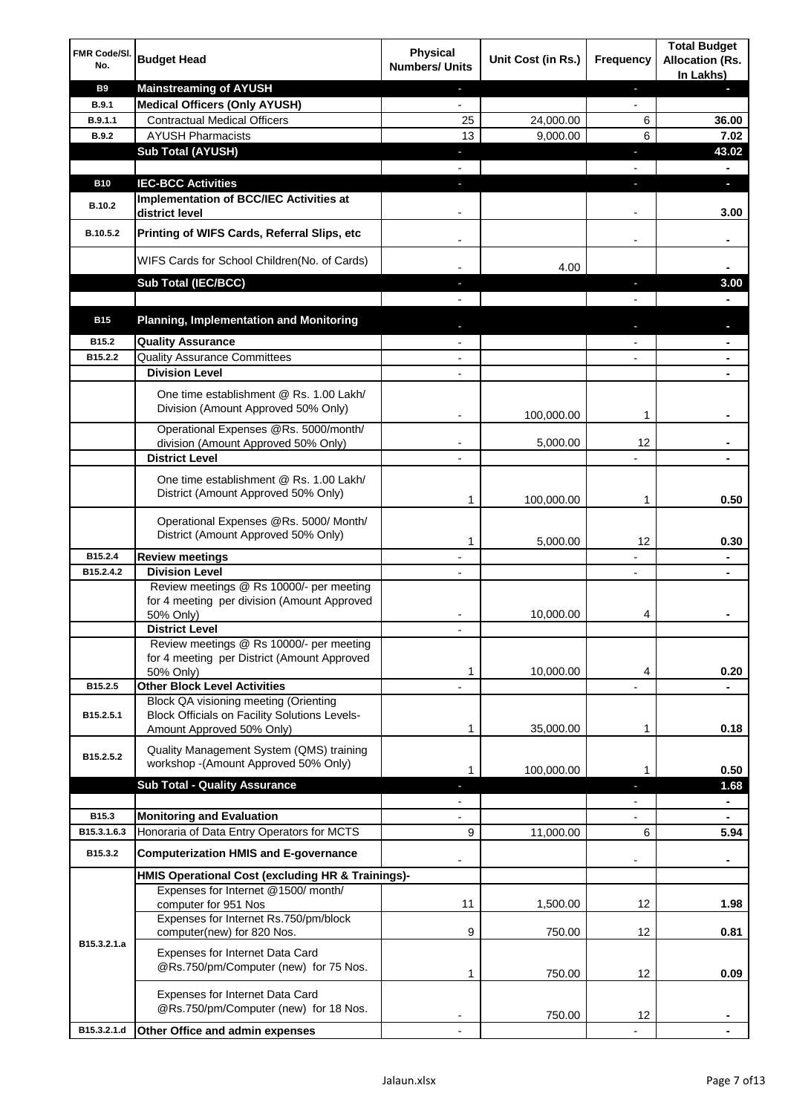| FMR Code/SI.<br>No. | <b>Budget Head</b>                                                                                                                | <b>Physical</b><br><b>Numbers/ Units</b> | Unit Cost (in Rs.) | <b>Frequency</b>         | <b>Total Budget</b><br><b>Allocation (Rs.</b><br>In Lakhs) |
|---------------------|-----------------------------------------------------------------------------------------------------------------------------------|------------------------------------------|--------------------|--------------------------|------------------------------------------------------------|
| <b>B9</b>           | <b>Mainstreaming of AYUSH</b>                                                                                                     | $\blacksquare$                           |                    | ٠                        | ٠                                                          |
| <b>B.9.1</b>        | <b>Medical Officers (Only AYUSH)</b>                                                                                              | $\blacksquare$                           |                    | $\blacksquare$           |                                                            |
| B.9.1.1             | <b>Contractual Medical Officers</b>                                                                                               | 25                                       | 24,000.00          | 6                        | 36.00                                                      |
| <b>B.9.2</b>        | <b>AYUSH Pharmacists</b>                                                                                                          | 13                                       | 9,000.00           | 6                        | 7.02                                                       |
|                     | <b>Sub Total (AYUSH)</b>                                                                                                          | ٠                                        |                    | ı                        | 43.02<br>۰                                                 |
| <b>B10</b>          | <b>IEC-BCC Activities</b>                                                                                                         | r.                                       |                    | ı                        | ÷.                                                         |
|                     | Implementation of BCC/IEC Activities at                                                                                           |                                          |                    |                          |                                                            |
| B.10.2              | district level                                                                                                                    |                                          |                    | $\overline{a}$           | 3.00                                                       |
| B.10.5.2            | Printing of WIFS Cards, Referral Slips, etc                                                                                       | $\blacksquare$                           |                    | $\overline{\phantom{a}}$ | ٠                                                          |
|                     | WIFS Cards for School Children(No. of Cards)                                                                                      |                                          | 4.00               |                          |                                                            |
|                     | Sub Total (IEC/BCC)                                                                                                               |                                          |                    |                          | 3.00                                                       |
|                     |                                                                                                                                   |                                          |                    |                          |                                                            |
| <b>B15</b>          | <b>Planning, Implementation and Monitoring</b>                                                                                    |                                          |                    |                          |                                                            |
| B15.2               | <b>Quality Assurance</b>                                                                                                          |                                          |                    |                          | ۰                                                          |
| B15.2.2             | <b>Quality Assurance Committees</b>                                                                                               | $\overline{\phantom{a}}$                 |                    |                          | ۰                                                          |
|                     | <b>Division Level</b>                                                                                                             |                                          |                    |                          |                                                            |
|                     | One time establishment @ Rs. 1.00 Lakh/<br>Division (Amount Approved 50% Only)                                                    |                                          | 100,000.00         | 1                        |                                                            |
|                     | Operational Expenses @Rs. 5000/month/                                                                                             |                                          |                    |                          |                                                            |
|                     | division (Amount Approved 50% Only)                                                                                               |                                          | 5,000.00           | 12                       |                                                            |
|                     | <b>District Level</b>                                                                                                             |                                          |                    |                          |                                                            |
|                     | One time establishment @ Rs. 1.00 Lakh/<br>District (Amount Approved 50% Only)                                                    | 1                                        | 100,000.00         | 1                        | 0.50                                                       |
|                     | Operational Expenses @Rs. 5000/ Month/<br>District (Amount Approved 50% Only)                                                     | 1                                        | 5,000.00           | 12                       | 0.30                                                       |
| B15.2.4             | <b>Review meetings</b>                                                                                                            |                                          |                    |                          | ۰                                                          |
| B15.2.4.2           | <b>Division Level</b>                                                                                                             |                                          |                    | $\overline{\phantom{a}}$ | ۰                                                          |
|                     | Review meetings @ Rs 10000/- per meeting<br>for 4 meeting per division (Amount Approved<br>50% Only)                              |                                          | 10,000.00          | 4                        |                                                            |
|                     | <b>District Level</b>                                                                                                             |                                          |                    |                          |                                                            |
|                     | Review meetings @ Rs 10000/- per meeting<br>for 4 meeting per District (Amount Approved<br>50% Only)                              | 1                                        | 10,000.00          | 4                        | 0.20                                                       |
| B15.2.5             | <b>Other Block Level Activities</b>                                                                                               |                                          |                    |                          |                                                            |
| B15.2.5.1           | <b>Block QA visioning meeting (Orienting</b><br><b>Block Officials on Facility Solutions Levels-</b><br>Amount Approved 50% Only) | 1                                        | 35,000.00          | 1                        | 0.18                                                       |
| B15.2.5.2           | Quality Management System (QMS) training<br>workshop - (Amount Approved 50% Only)                                                 | 1                                        | 100,000.00         | 1                        | 0.50                                                       |
|                     | <b>Sub Total - Quality Assurance</b>                                                                                              | ٠                                        |                    | J,                       | 1.68                                                       |
|                     |                                                                                                                                   |                                          |                    |                          | ۰                                                          |
| B15.3               | <b>Monitoring and Evaluation</b>                                                                                                  |                                          |                    |                          | ۰                                                          |
| B15.3.1.6.3         | Honoraria of Data Entry Operators for MCTS                                                                                        | 9                                        | 11,000.00          | 6                        | 5.94                                                       |
| B15.3.2             | <b>Computerization HMIS and E-governance</b>                                                                                      |                                          |                    |                          |                                                            |
|                     | HMIS Operational Cost (excluding HR & Trainings)-                                                                                 |                                          |                    |                          |                                                            |
|                     | Expenses for Internet @1500/month/                                                                                                | 11                                       |                    |                          |                                                            |
|                     | computer for 951 Nos<br>Expenses for Internet Rs.750/pm/block<br>computer(new) for 820 Nos.                                       | 9                                        | 1,500.00<br>750.00 | 12<br>12                 | 1.98<br>0.81                                               |
| B15.3.2.1.a         | Expenses for Internet Data Card<br>@Rs.750/pm/Computer (new) for 75 Nos.                                                          | 1                                        | 750.00             | 12                       | 0.09                                                       |
|                     | Expenses for Internet Data Card<br>@Rs.750/pm/Computer (new) for 18 Nos.                                                          |                                          | 750.00             | 12                       |                                                            |
| B15.3.2.1.d         | Other Office and admin expenses                                                                                                   |                                          |                    |                          |                                                            |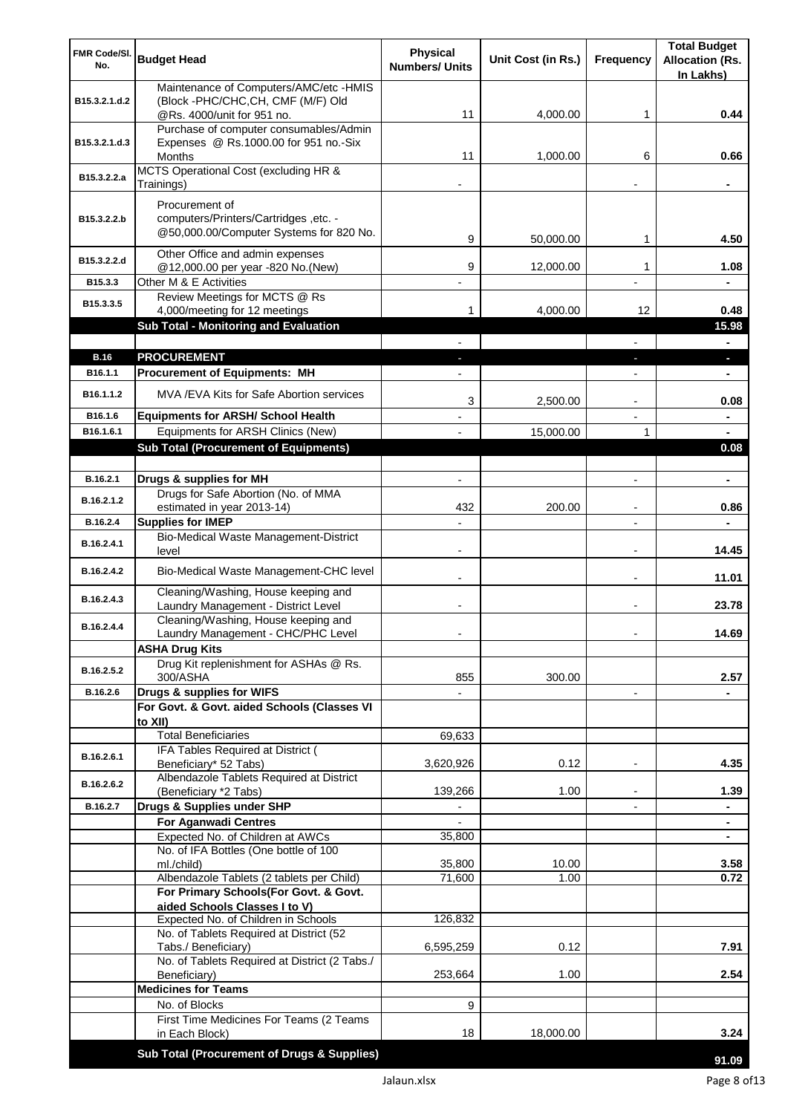| FMR Code/SI.          | <b>Budget Head</b>                                                                 | <b>Physical</b>          | Unit Cost (in Rs.) | <b>Frequency</b>         | <b>Total Budget</b><br><b>Allocation (Rs.</b> |
|-----------------------|------------------------------------------------------------------------------------|--------------------------|--------------------|--------------------------|-----------------------------------------------|
| No.                   |                                                                                    | <b>Numbers/ Units</b>    |                    |                          | In Lakhs)                                     |
|                       | Maintenance of Computers/AMC/etc -HMIS                                             |                          |                    |                          |                                               |
| B15.3.2.1.d.2         | (Block -PHC/CHC, CH, CMF (M/F) Old<br>@Rs. 4000/unit for 951 no.                   | 11                       | 4,000.00           | 1                        | 0.44                                          |
|                       | Purchase of computer consumables/Admin                                             |                          |                    |                          |                                               |
| B15.3.2.1.d.3         | Expenses @ Rs.1000.00 for 951 no.-Six                                              |                          |                    |                          |                                               |
|                       | Months<br>MCTS Operational Cost (excluding HR &                                    | 11                       | 1,000.00           | 6                        | 0.66                                          |
| B15.3.2.2.a           | Trainings)                                                                         |                          |                    |                          |                                               |
|                       | Procurement of                                                                     |                          |                    |                          |                                               |
| B15.3.2.2.b           | computers/Printers/Cartridges, etc. -                                              |                          |                    |                          |                                               |
|                       | @50,000.00/Computer Systems for 820 No.                                            | 9                        | 50,000.00          | 1                        | 4.50                                          |
|                       | Other Office and admin expenses                                                    |                          |                    |                          |                                               |
| B15.3.2.2.d           | @12,000.00 per year -820 No.(New)                                                  | 9                        | 12,000.00          | 1                        | 1.08                                          |
| B15.3.3               | Other M & E Activities                                                             |                          |                    |                          |                                               |
| B15.3.3.5             | Review Meetings for MCTS @ Rs<br>4,000/meeting for 12 meetings                     | 1                        | 4,000.00           | 12                       | 0.48                                          |
|                       | Sub Total - Monitoring and Evaluation                                              |                          |                    |                          | 15.98                                         |
|                       |                                                                                    |                          |                    |                          | $\blacksquare$                                |
| <b>B.16</b>           | <b>PROCUREMENT</b>                                                                 |                          |                    |                          | ×.                                            |
| B <sub>16.1.1</sub>   | <b>Procurement of Equipments: MH</b>                                               |                          |                    |                          | ٠                                             |
| B <sub>16.1.1.2</sub> | MVA/EVA Kits for Safe Abortion services                                            | 3                        | 2,500.00           |                          | 0.08                                          |
| B16.1.6               | <b>Equipments for ARSH/ School Health</b>                                          |                          |                    |                          | $\blacksquare$                                |
| B16.1.6.1             | Equipments for ARSH Clinics (New)                                                  |                          | 15,000.00          | 1                        | $\blacksquare$                                |
|                       | <b>Sub Total (Procurement of Equipments)</b>                                       |                          |                    |                          | 0.08                                          |
|                       |                                                                                    |                          |                    |                          |                                               |
| B.16.2.1              | Drugs & supplies for MH                                                            | $\blacksquare$           |                    | $\blacksquare$           | $\blacksquare$                                |
| B.16.2.1.2            | Drugs for Safe Abortion (No. of MMA<br>estimated in year 2013-14)                  | 432                      | 200.00             |                          | 0.86                                          |
| B.16.2.4              | <b>Supplies for IMEP</b>                                                           |                          |                    |                          |                                               |
| B.16.2.4.1            | Bio-Medical Waste Management-District                                              |                          |                    |                          |                                               |
|                       | level                                                                              | $\overline{\phantom{0}}$ |                    | $\blacksquare$           | 14.45                                         |
| B.16.2.4.2            | Bio-Medical Waste Management-CHC level                                             |                          |                    | $\blacksquare$           | 11.01                                         |
| B.16.2.4.3            | Cleaning/Washing, House keeping and<br>Laundry Management - District Level         |                          |                    | $\blacksquare$           | 23.78                                         |
| B.16.2.4.4            | Cleaning/Washing, House keeping and                                                |                          |                    |                          |                                               |
|                       | Laundry Management - CHC/PHC Level                                                 |                          |                    |                          | 14.69                                         |
|                       | <b>ASHA Drug Kits</b>                                                              |                          |                    |                          |                                               |
| B.16.2.5.2            | Drug Kit replenishment for ASHAs @ Rs.<br>300/ASHA                                 | 855                      | 300.00             |                          | 2.57                                          |
| B.16.2.6              | Drugs & supplies for WIFS                                                          |                          |                    | $\overline{\phantom{a}}$ |                                               |
|                       | For Govt. & Govt. aided Schools (Classes VI                                        |                          |                    |                          |                                               |
|                       | to XII)<br><b>Total Beneficiaries</b>                                              |                          |                    |                          |                                               |
|                       | IFA Tables Required at District (                                                  | 69,633                   |                    |                          |                                               |
| B.16.2.6.1            | Beneficiary* 52 Tabs)                                                              | 3,620,926                | 0.12               | $\overline{\phantom{a}}$ | 4.35                                          |
| B.16.2.6.2            | Albendazole Tablets Required at District                                           |                          |                    |                          |                                               |
| B.16.2.7              | (Beneficiary *2 Tabs)<br>Drugs & Supplies under SHP                                | 139,266                  | 1.00               |                          | 1.39                                          |
|                       | <b>For Aganwadi Centres</b>                                                        |                          |                    |                          |                                               |
|                       | Expected No. of Children at AWCs                                                   | 35,800                   |                    |                          | ٠                                             |
|                       | No. of IFA Bottles (One bottle of 100                                              |                          |                    |                          |                                               |
|                       | ml./child)                                                                         | 35,800                   | 10.00              |                          | 3.58                                          |
|                       | Albendazole Tablets (2 tablets per Child)<br>For Primary Schools(For Govt. & Govt. | 71,600                   | 1.00               |                          | 0.72                                          |
|                       | aided Schools Classes I to V)                                                      |                          |                    |                          |                                               |
|                       | Expected No. of Children in Schools                                                | 126,832                  |                    |                          |                                               |
|                       | No. of Tablets Required at District (52<br>Tabs./ Beneficiary)                     | 6,595,259                | 0.12               |                          | 7.91                                          |
|                       | No. of Tablets Required at District (2 Tabs./                                      |                          |                    |                          |                                               |
|                       | Beneficiary)                                                                       | 253,664                  | 1.00               |                          | 2.54                                          |
|                       | <b>Medicines for Teams</b>                                                         |                          |                    |                          |                                               |
|                       | No. of Blocks<br>First Time Medicines For Teams (2 Teams                           | 9                        |                    |                          |                                               |
|                       | in Each Block)                                                                     | 18                       | 18,000.00          |                          | 3.24                                          |
|                       | Sub Total (Procurement of Drugs & Supplies)                                        |                          |                    |                          |                                               |
|                       |                                                                                    |                          |                    |                          | 91.09                                         |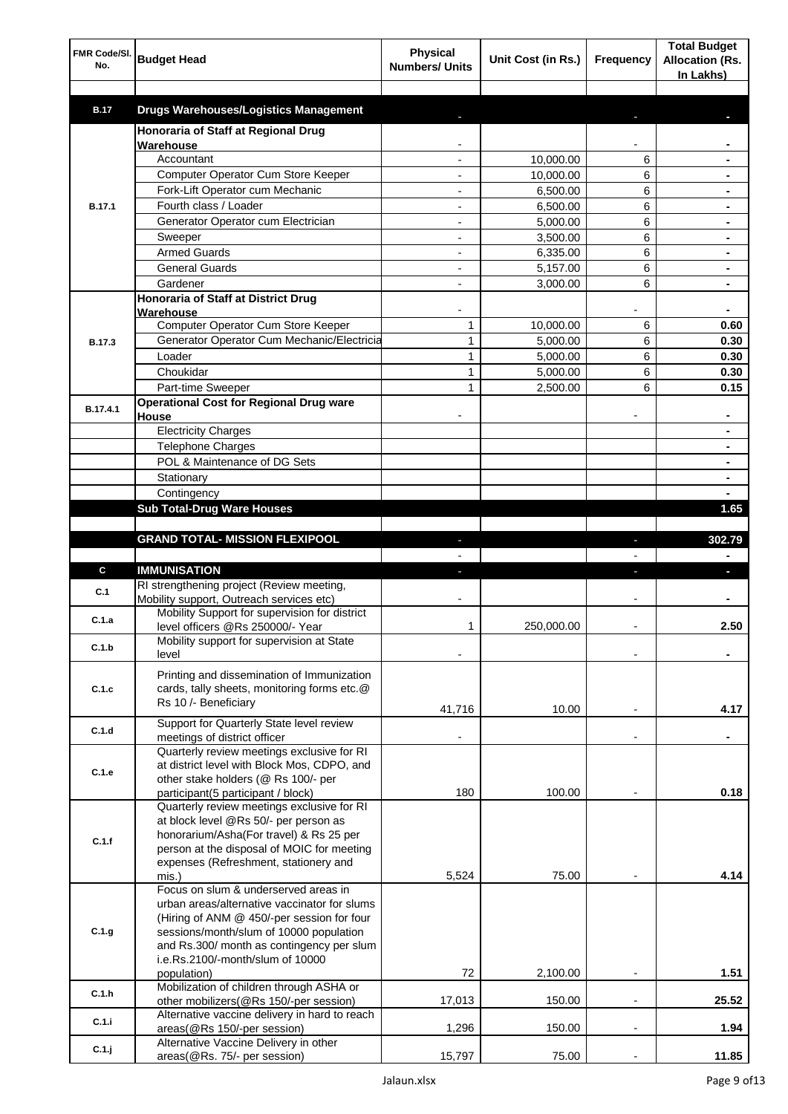| FMR Code/SI.<br>No. | <b>Budget Head</b>                                                                   | Physical<br><b>Numbers/ Units</b> | Unit Cost (in Rs.) | Frequency      | <b>Total Budget</b><br><b>Allocation (Rs.</b><br>In Lakhs) |
|---------------------|--------------------------------------------------------------------------------------|-----------------------------------|--------------------|----------------|------------------------------------------------------------|
|                     |                                                                                      |                                   |                    |                |                                                            |
| <b>B.17</b>         | <b>Drugs Warehouses/Logistics Management</b>                                         |                                   |                    |                |                                                            |
|                     | Honoraria of Staff at Regional Drug<br>Warehouse                                     |                                   |                    |                |                                                            |
|                     | Accountant                                                                           |                                   | 10,000.00          | 6              |                                                            |
|                     | Computer Operator Cum Store Keeper                                                   |                                   | 10,000.00          | 6              |                                                            |
|                     | Fork-Lift Operator cum Mechanic                                                      |                                   | 6,500.00           | 6              |                                                            |
| <b>B.17.1</b>       | Fourth class / Loader                                                                |                                   | 6,500.00           | 6              |                                                            |
|                     | Generator Operator cum Electrician                                                   |                                   | 5,000.00           | 6              |                                                            |
|                     | Sweeper                                                                              |                                   | 3,500.00           | 6              |                                                            |
|                     | <b>Armed Guards</b>                                                                  |                                   | 6,335.00           | 6              |                                                            |
|                     | <b>General Guards</b>                                                                |                                   | 5,157.00           | 6              |                                                            |
|                     | Gardener                                                                             |                                   | 3,000.00           | 6              |                                                            |
|                     | <b>Honoraria of Staff at District Drug</b>                                           |                                   |                    |                |                                                            |
|                     | Warehouse                                                                            |                                   |                    |                |                                                            |
|                     | Computer Operator Cum Store Keeper                                                   | 1                                 | 10,000.00          | 6              | 0.60                                                       |
| <b>B.17.3</b>       | Generator Operator Cum Mechanic/Electricia                                           | 1                                 | 5,000.00           | 6              | 0.30                                                       |
|                     | Loader                                                                               | 1                                 | 5,000.00           | 6              | 0.30                                                       |
|                     | Choukidar                                                                            | 1                                 | 5.000.00           | 6              | 0.30                                                       |
|                     | Part-time Sweeper                                                                    | 1                                 | 2,500.00           | 6              | 0.15                                                       |
| B.17.4.1            | <b>Operational Cost for Regional Drug ware</b>                                       |                                   |                    |                |                                                            |
|                     | House                                                                                |                                   |                    |                | ۰                                                          |
|                     | <b>Electricity Charges</b>                                                           |                                   |                    |                | ۰                                                          |
|                     | <b>Telephone Charges</b>                                                             |                                   |                    |                | ۰                                                          |
|                     | POL & Maintenance of DG Sets                                                         |                                   |                    |                | ۰                                                          |
|                     | Stationary                                                                           |                                   |                    |                | ٠                                                          |
|                     | Contingency                                                                          |                                   |                    |                |                                                            |
|                     | <b>Sub Total-Drug Ware Houses</b>                                                    |                                   |                    |                | 1.65                                                       |
|                     |                                                                                      |                                   |                    |                |                                                            |
|                     | <b>GRAND TOTAL- MISSION FLEXIPOOL</b>                                                |                                   |                    | J,             | 302.79                                                     |
|                     |                                                                                      |                                   |                    |                |                                                            |
| C                   | <b>IMMUNISATION</b><br>RI strengthening project (Review meeting,                     |                                   |                    |                | ı                                                          |
| C.1                 | Mobility support, Outreach services etc)                                             |                                   |                    |                |                                                            |
|                     | Mobility Support for supervision for district                                        |                                   |                    |                |                                                            |
| C.1.a               | level officers @Rs 250000/- Year                                                     | 1                                 | 250,000.00         |                | 2.50                                                       |
| C.1.b               | Mobility support for supervision at State                                            |                                   |                    |                |                                                            |
|                     | level                                                                                |                                   |                    |                |                                                            |
|                     | Printing and dissemination of Immunization                                           |                                   |                    |                |                                                            |
| C.1.c               | cards, tally sheets, monitoring forms etc.@                                          |                                   |                    |                |                                                            |
|                     | Rs 10 /- Beneficiary                                                                 | 41,716                            | 10.00              |                | 4.17                                                       |
|                     | Support for Quarterly State level review                                             |                                   |                    |                |                                                            |
| C.1.d               | meetings of district officer                                                         |                                   |                    |                |                                                            |
|                     | Quarterly review meetings exclusive for RI                                           |                                   |                    |                |                                                            |
| C.1.e               | at district level with Block Mos, CDPO, and                                          |                                   |                    |                |                                                            |
|                     | other stake holders (@ Rs 100/- per                                                  |                                   |                    |                |                                                            |
|                     | participant(5 participant / block)                                                   | 180                               | 100.00             |                | 0.18                                                       |
|                     | Quarterly review meetings exclusive for RI<br>at block level @Rs 50/- per person as  |                                   |                    |                |                                                            |
|                     | honorarium/Asha(For travel) & Rs 25 per                                              |                                   |                    |                |                                                            |
| C.1.f               | person at the disposal of MOIC for meeting                                           |                                   |                    |                |                                                            |
|                     | expenses (Refreshment, stationery and                                                |                                   |                    |                |                                                            |
|                     | mis.)                                                                                | 5,524                             | 75.00              |                | 4.14                                                       |
|                     | Focus on slum & underserved areas in                                                 |                                   |                    |                |                                                            |
|                     | urban areas/alternative vaccinator for slums                                         |                                   |                    |                |                                                            |
|                     | (Hiring of ANM @ 450/-per session for four                                           |                                   |                    |                |                                                            |
| C.1.g               | sessions/month/slum of 10000 population<br>and Rs.300/ month as contingency per slum |                                   |                    |                |                                                            |
|                     | i.e.Rs.2100/-month/slum of 10000                                                     |                                   |                    |                |                                                            |
|                     |                                                                                      |                                   | 2,100.00           |                | 1.51                                                       |
|                     | population)                                                                          | 72                                |                    |                |                                                            |
|                     | Mobilization of children through ASHA or                                             |                                   |                    |                |                                                            |
| C.1.h               | other mobilizers(@Rs 150/-per session)                                               | 17,013                            | 150.00             |                | 25.52                                                      |
| C.1.i               | Alternative vaccine delivery in hard to reach                                        |                                   |                    |                |                                                            |
|                     | areas(@Rs 150/-per session)<br>Alternative Vaccine Delivery in other                 | 1,296                             | 150.00             | $\overline{a}$ | 1.94                                                       |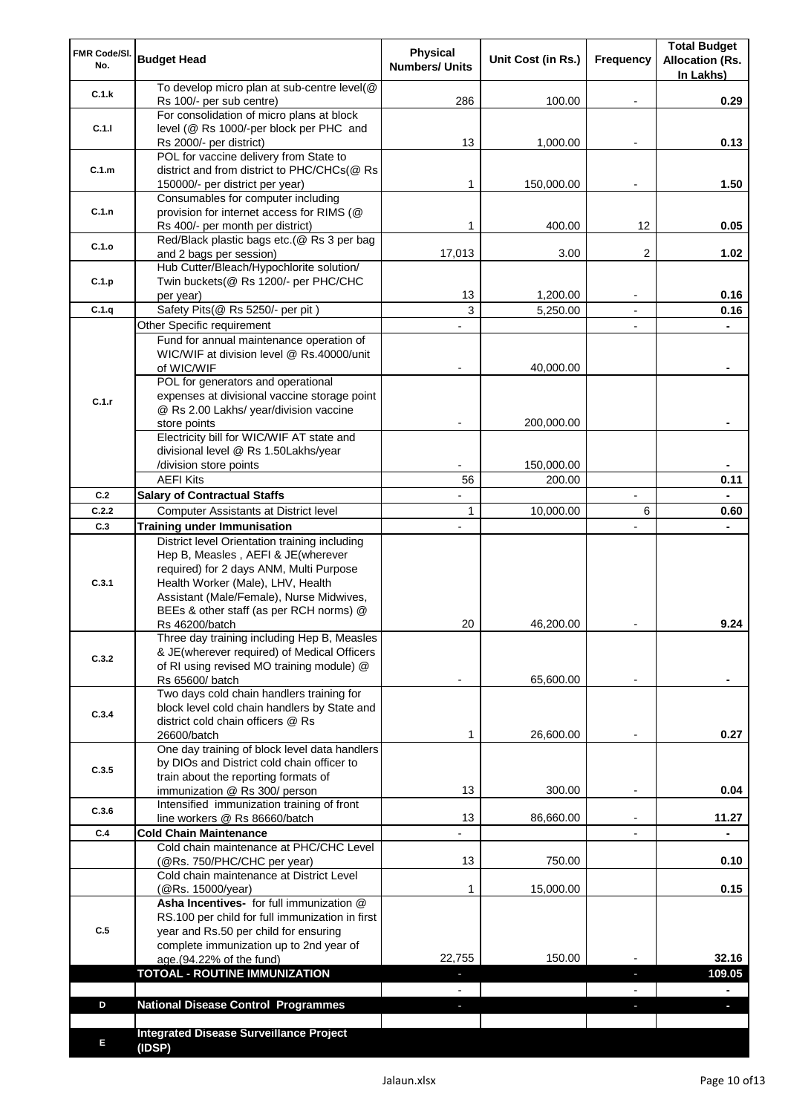| FMR Code/SI.<br>No. | <b>Budget Head</b>                                                                                                                                                              | Physical<br><b>Numbers/ Units</b> | Unit Cost (in Rs.) | Frequency                | <b>Total Budget</b><br><b>Allocation (Rs.</b><br>In Lakhs) |
|---------------------|---------------------------------------------------------------------------------------------------------------------------------------------------------------------------------|-----------------------------------|--------------------|--------------------------|------------------------------------------------------------|
| C.1.k               | To develop micro plan at sub-centre level(@<br>Rs 100/- per sub centre)                                                                                                         | 286                               | 100.00             |                          | 0.29                                                       |
| C.1.1               | For consolidation of micro plans at block<br>level (@ Rs 1000/-per block per PHC and                                                                                            |                                   |                    |                          |                                                            |
|                     | Rs 2000/- per district)<br>POL for vaccine delivery from State to                                                                                                               | 13                                | 1,000.00           |                          | 0.13                                                       |
| C.1.m               | district and from district to PHC/CHCs(@ Rs<br>150000/- per district per year)                                                                                                  | 1                                 | 150,000.00         |                          | 1.50                                                       |
| C.1.n               | Consumables for computer including<br>provision for internet access for RIMS (@                                                                                                 |                                   |                    |                          |                                                            |
|                     | Rs 400/- per month per district)                                                                                                                                                | 1                                 | 400.00             | 12                       | 0.05                                                       |
| C.1.o               | Red/Black plastic bags etc.(@ Rs 3 per bag<br>and 2 bags per session)                                                                                                           | 17,013                            | 3.00               | 2                        | 1.02                                                       |
|                     | Hub Cutter/Bleach/Hypochlorite solution/                                                                                                                                        |                                   |                    |                          |                                                            |
| C.1.p               | Twin buckets(@ Rs 1200/- per PHC/CHC<br>per year)                                                                                                                               | 13                                | 1,200.00           |                          | 0.16                                                       |
| C.1.q               | Safety Pits(@ Rs 5250/- per pit)                                                                                                                                                | 3                                 | 5,250.00           |                          | 0.16                                                       |
|                     | Other Specific requirement                                                                                                                                                      |                                   |                    | $\blacksquare$           |                                                            |
|                     | Fund for annual maintenance operation of                                                                                                                                        |                                   |                    |                          |                                                            |
|                     | WIC/WIF at division level @ Rs.40000/unit                                                                                                                                       |                                   |                    |                          |                                                            |
|                     | of WIC/WIF                                                                                                                                                                      |                                   | 40,000.00          |                          |                                                            |
|                     | POL for generators and operational<br>expenses at divisional vaccine storage point                                                                                              |                                   |                    |                          |                                                            |
| C.1.r               | @ Rs 2.00 Lakhs/ year/division vaccine                                                                                                                                          |                                   |                    |                          |                                                            |
|                     | store points                                                                                                                                                                    |                                   | 200,000.00         |                          |                                                            |
|                     | Electricity bill for WIC/WIF AT state and                                                                                                                                       |                                   |                    |                          |                                                            |
|                     | divisional level @ Rs 1.50Lakhs/year                                                                                                                                            |                                   |                    |                          |                                                            |
|                     | /division store points                                                                                                                                                          |                                   | 150,000.00         |                          |                                                            |
|                     | <b>AEFI Kits</b>                                                                                                                                                                | 56                                | 200.00             |                          | 0.11                                                       |
| C.2                 | <b>Salary of Contractual Staffs</b>                                                                                                                                             |                                   |                    | $\overline{\phantom{a}}$ |                                                            |
| C.2.2               | Computer Assistants at District level                                                                                                                                           | $\mathbf{1}$                      | 10,000.00          | 6                        | 0.60                                                       |
| C.3                 | <b>Training under Immunisation</b><br>District level Orientation training including                                                                                             | $\overline{a}$                    |                    | $\overline{a}$           |                                                            |
| C.3.1               | Hep B, Measles, AEFI & JE(wherever<br>required) for 2 days ANM, Multi Purpose<br>Health Worker (Male), LHV, Health<br>Assistant (Male/Female), Nurse Midwives,                  |                                   |                    |                          |                                                            |
|                     | BEEs & other staff (as per RCH norms) @                                                                                                                                         |                                   |                    |                          |                                                            |
|                     | Rs 46200/batch                                                                                                                                                                  | 20                                | 46,200.00          |                          | 9.24                                                       |
| C.3.2               | Three day training including Hep B, Measles<br>& JE(wherever required) of Medical Officers<br>of RI using revised MO training module) @                                         |                                   |                    |                          |                                                            |
|                     | Rs 65600/ batch                                                                                                                                                                 |                                   | 65,600.00          |                          |                                                            |
| C.3.4               | Two days cold chain handlers training for<br>block level cold chain handlers by State and<br>district cold chain officers @ Rs                                                  |                                   |                    |                          |                                                            |
|                     | 26600/batch<br>One day training of block level data handlers                                                                                                                    | 1                                 | 26,600.00          |                          | 0.27                                                       |
|                     | by DIOs and District cold chain officer to                                                                                                                                      |                                   |                    |                          |                                                            |
| C.3.5               | train about the reporting formats of                                                                                                                                            |                                   |                    |                          |                                                            |
|                     | immunization @ Rs 300/ person                                                                                                                                                   | 13                                | 300.00             | $\overline{\phantom{a}}$ | 0.04                                                       |
| C.3.6               | Intensified immunization training of front                                                                                                                                      |                                   |                    |                          |                                                            |
| C.4                 | line workers @ Rs 86660/batch<br><b>Cold Chain Maintenance</b>                                                                                                                  | 13                                | 86,660.00          | $\blacksquare$           | 11.27                                                      |
|                     | Cold chain maintenance at PHC/CHC Level                                                                                                                                         |                                   |                    |                          |                                                            |
|                     | (@Rs. 750/PHC/CHC per year)                                                                                                                                                     | 13                                | 750.00             |                          | 0.10                                                       |
|                     | Cold chain maintenance at District Level<br>(@Rs. 15000/year)                                                                                                                   | 1                                 | 15,000.00          |                          | 0.15                                                       |
| C.5                 | Asha Incentives- for full immunization @<br>RS.100 per child for full immunization in first<br>year and Rs.50 per child for ensuring<br>complete immunization up to 2nd year of |                                   |                    |                          |                                                            |
|                     | age.(94.22% of the fund)                                                                                                                                                        | 22,755                            | 150.00             |                          | 32.16                                                      |
|                     | <b>TOTOAL - ROUTINE IMMUNIZATION</b>                                                                                                                                            |                                   |                    |                          | 109.05                                                     |
|                     |                                                                                                                                                                                 |                                   |                    |                          |                                                            |
| D                   | <b>National Disease Control Programmes</b>                                                                                                                                      |                                   |                    |                          |                                                            |
|                     |                                                                                                                                                                                 |                                   |                    |                          |                                                            |
| Е                   | <b>Integrated Disease Surveillance Project</b><br>(IDSP)                                                                                                                        |                                   |                    |                          |                                                            |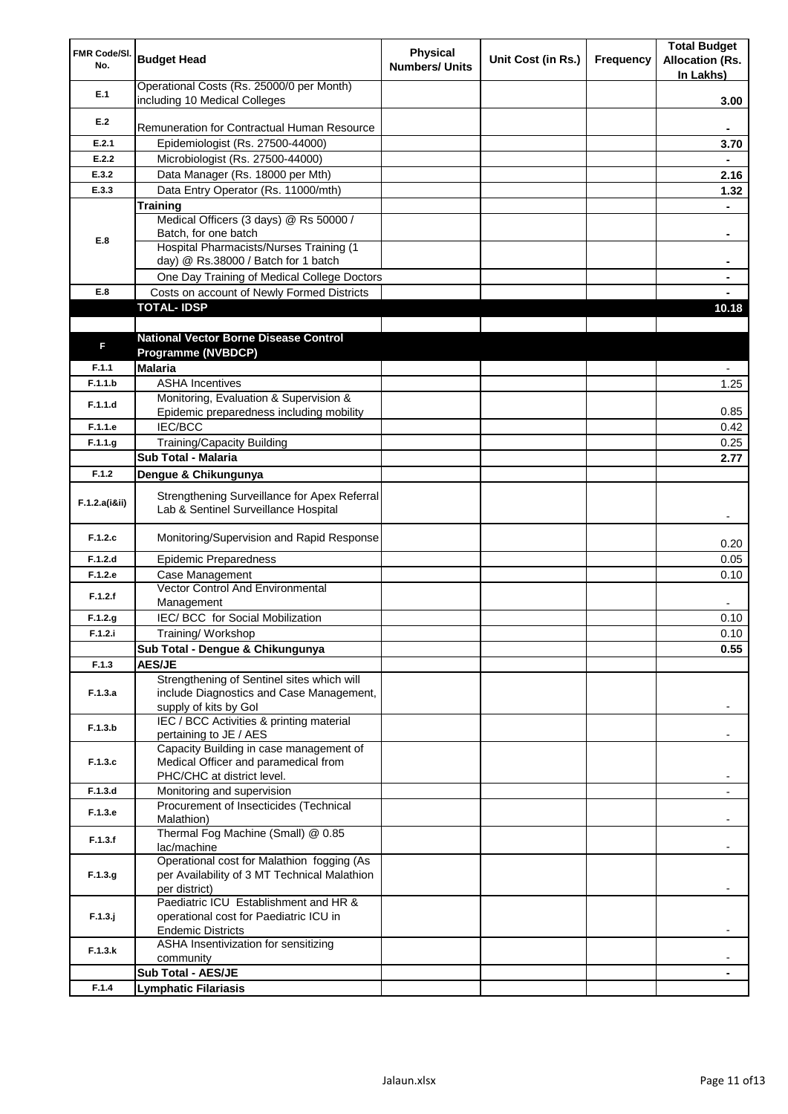| FMR Code/SI.<br>No. | <b>Budget Head</b>                                                                         | Physical<br><b>Numbers/ Units</b> | Unit Cost (in Rs.) | Frequency | <b>Total Budget</b><br><b>Allocation (Rs.</b><br>In Lakhs) |
|---------------------|--------------------------------------------------------------------------------------------|-----------------------------------|--------------------|-----------|------------------------------------------------------------|
| E.1                 | Operational Costs (Rs. 25000/0 per Month)<br>including 10 Medical Colleges                 |                                   |                    |           | 3.00                                                       |
| E.2                 |                                                                                            |                                   |                    |           |                                                            |
|                     | Remuneration for Contractual Human Resource                                                |                                   |                    |           |                                                            |
| E.2.1               | Epidemiologist (Rs. 27500-44000)                                                           |                                   |                    |           | 3.70                                                       |
| E.2.2<br>E.3.2      | Microbiologist (Rs. 27500-44000)<br>Data Manager (Rs. 18000 per Mth)                       |                                   |                    |           | 2.16                                                       |
| E.3.3               | Data Entry Operator (Rs. 11000/mth)                                                        |                                   |                    |           | 1.32                                                       |
|                     | <b>Training</b>                                                                            |                                   |                    |           |                                                            |
|                     | Medical Officers (3 days) @ Rs 50000 /                                                     |                                   |                    |           |                                                            |
| E.8                 | Batch, for one batch                                                                       |                                   |                    |           | ۰                                                          |
|                     | Hospital Pharmacists/Nurses Training (1                                                    |                                   |                    |           |                                                            |
|                     | day) @ Rs.38000 / Batch for 1 batch                                                        |                                   |                    |           |                                                            |
|                     | One Day Training of Medical College Doctors                                                |                                   |                    |           |                                                            |
| E.8                 | Costs on account of Newly Formed Districts<br><b>TOTAL-IDSP</b>                            |                                   |                    |           |                                                            |
|                     |                                                                                            |                                   |                    |           | 10.18                                                      |
|                     | <b>National Vector Borne Disease Control</b>                                               |                                   |                    |           |                                                            |
| F                   | Programme (NVBDCP)                                                                         |                                   |                    |           |                                                            |
| F.1.1               | <b>Malaria</b>                                                                             |                                   |                    |           |                                                            |
| F.1.1.b             | <b>ASHA Incentives</b>                                                                     |                                   |                    |           | 1.25                                                       |
| F.1.1.d             | Monitoring, Evaluation & Supervision &                                                     |                                   |                    |           |                                                            |
|                     | Epidemic preparedness including mobility                                                   |                                   |                    |           | 0.85                                                       |
| F.1.1.e             | IEC/BCC                                                                                    |                                   |                    |           | 0.42                                                       |
| F.1.1.g             | <b>Training/Capacity Building</b>                                                          |                                   |                    |           | 0.25                                                       |
|                     | Sub Total - Malaria                                                                        |                                   |                    |           | 2.77                                                       |
| F.1.2               | Dengue & Chikungunya                                                                       |                                   |                    |           |                                                            |
| F.1.2.a(iⅈ)         | Strengthening Surveillance for Apex Referral<br>Lab & Sentinel Surveillance Hospital       |                                   |                    |           |                                                            |
| F.1.2.c             | Monitoring/Supervision and Rapid Response                                                  |                                   |                    |           | 0.20                                                       |
| F.1.2.d             | <b>Epidemic Preparedness</b>                                                               |                                   |                    |           | 0.05                                                       |
| F.1.2.e             | Case Management                                                                            |                                   |                    |           | 0.10                                                       |
| F.1.2.f             | Vector Control And Environmental<br>Management                                             |                                   |                    |           |                                                            |
| F.1.2.g             | IEC/ BCC for Social Mobilization                                                           |                                   |                    |           | 0.10                                                       |
| F.1.2.i             | Training/Workshop                                                                          |                                   |                    |           | 0.10                                                       |
|                     | Sub Total - Dengue & Chikungunya                                                           |                                   |                    |           | 0.55                                                       |
| F.1.3               | <b>AES/JE</b>                                                                              |                                   |                    |           |                                                            |
| F.1.3.a             | Strengthening of Sentinel sites which will<br>include Diagnostics and Case Management,     |                                   |                    |           |                                                            |
|                     | supply of kits by Gol                                                                      |                                   |                    |           |                                                            |
|                     | IEC / BCC Activities & printing material                                                   |                                   |                    |           |                                                            |
| F.1.3.b             | pertaining to JE / AES                                                                     |                                   |                    |           |                                                            |
|                     | Capacity Building in case management of                                                    |                                   |                    |           |                                                            |
| F.1.3.c             | Medical Officer and paramedical from<br>PHC/CHC at district level.                         |                                   |                    |           |                                                            |
| F.1.3.d             | Monitoring and supervision                                                                 |                                   |                    |           |                                                            |
|                     | Procurement of Insecticides (Technical                                                     |                                   |                    |           |                                                            |
| F.1.3.e             | Malathion)                                                                                 |                                   |                    |           |                                                            |
| F.1.3.f             | Thermal Fog Machine (Small) @ 0.85                                                         |                                   |                    |           |                                                            |
|                     | lac/machine                                                                                |                                   |                    |           |                                                            |
| F.1.3.g             | Operational cost for Malathion fogging (As<br>per Availability of 3 MT Technical Malathion |                                   |                    |           |                                                            |
|                     | per district)                                                                              |                                   |                    |           |                                                            |
|                     | Paediatric ICU Establishment and HR &                                                      |                                   |                    |           |                                                            |
| $F.1.3.$ j          | operational cost for Paediatric ICU in                                                     |                                   |                    |           |                                                            |
|                     | <b>Endemic Districts</b>                                                                   |                                   |                    |           |                                                            |
| F.1.3.k             | ASHA Insentivization for sensitizing                                                       |                                   |                    |           |                                                            |
|                     | community<br>Sub Total - AES/JE                                                            |                                   |                    |           |                                                            |
| F.1.4               | <b>Lymphatic Filariasis</b>                                                                |                                   |                    |           |                                                            |
|                     |                                                                                            |                                   |                    |           |                                                            |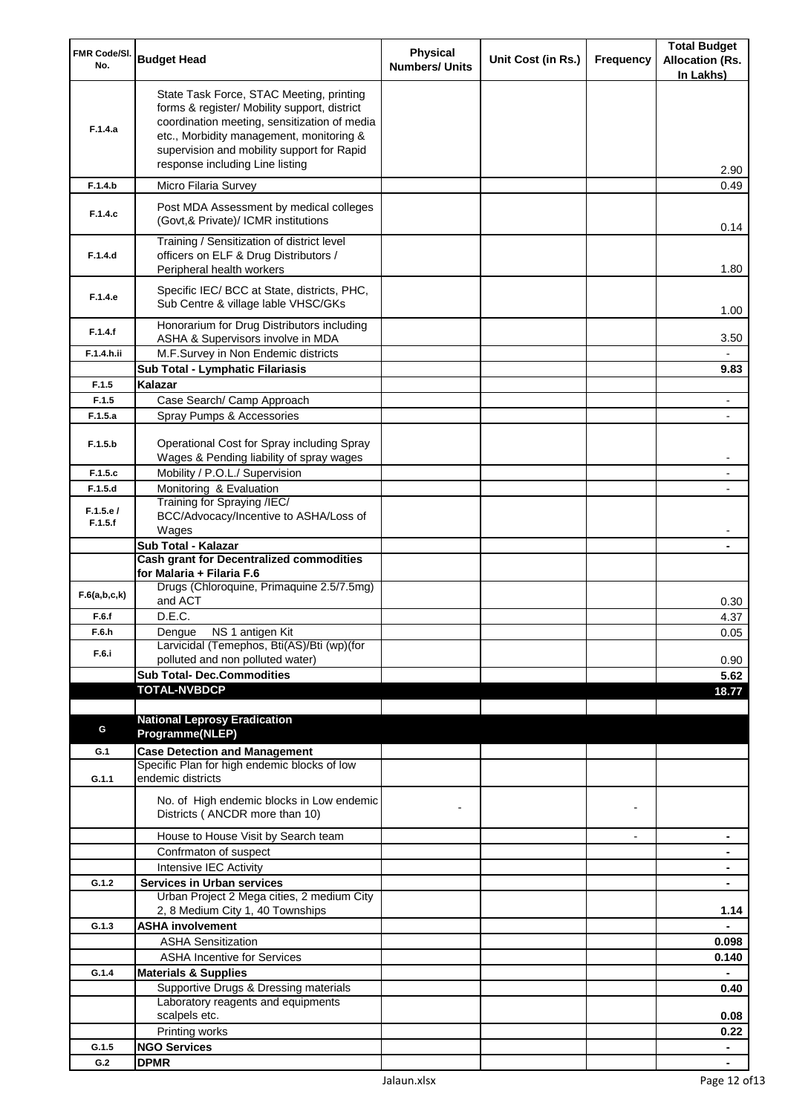| FMR Code/SI.<br>No. | <b>Budget Head</b>                                                                                                                                                                                                                                                    | <b>Physical</b><br><b>Numbers/ Units</b> | Unit Cost (in Rs.) | Frequency      | <b>Total Budget</b><br><b>Allocation (Rs.</b> |
|---------------------|-----------------------------------------------------------------------------------------------------------------------------------------------------------------------------------------------------------------------------------------------------------------------|------------------------------------------|--------------------|----------------|-----------------------------------------------|
| F.1.4.a             | State Task Force, STAC Meeting, printing<br>forms & register/ Mobility support, district<br>coordination meeting, sensitization of media<br>etc., Morbidity management, monitoring &<br>supervision and mobility support for Rapid<br>response including Line listing |                                          |                    |                | In Lakhs)<br>2.90                             |
| F.1.4.b             | Micro Filaria Survey                                                                                                                                                                                                                                                  |                                          |                    |                | 0.49                                          |
| F.1.4.c             | Post MDA Assessment by medical colleges<br>(Govt, & Private)/ ICMR institutions                                                                                                                                                                                       |                                          |                    |                | 0.14                                          |
| F.1.4.d             | Training / Sensitization of district level<br>officers on ELF & Drug Distributors /<br>Peripheral health workers                                                                                                                                                      |                                          |                    |                | 1.80                                          |
| F.1.4.e             | Specific IEC/ BCC at State, districts, PHC,<br>Sub Centre & village lable VHSC/GKs                                                                                                                                                                                    |                                          |                    |                | 1.00                                          |
| F.1.4.f             | Honorarium for Drug Distributors including<br>ASHA & Supervisors involve in MDA                                                                                                                                                                                       |                                          |                    |                | 3.50                                          |
| F.1.4.h.ii          | M.F.Survey in Non Endemic districts                                                                                                                                                                                                                                   |                                          |                    |                |                                               |
|                     | Sub Total - Lymphatic Filariasis                                                                                                                                                                                                                                      |                                          |                    |                | 9.83                                          |
| F.1.5<br>F.1.5      | Kalazar<br>Case Search/ Camp Approach                                                                                                                                                                                                                                 |                                          |                    |                |                                               |
| F.1.5.a             | Spray Pumps & Accessories                                                                                                                                                                                                                                             |                                          |                    |                |                                               |
| F.1.5.b             | Operational Cost for Spray including Spray<br>Wages & Pending liability of spray wages                                                                                                                                                                                |                                          |                    |                |                                               |
| F.1.5.c             | Mobility / P.O.L./ Supervision                                                                                                                                                                                                                                        |                                          |                    |                |                                               |
| F.1.5.d             | Monitoring & Evaluation                                                                                                                                                                                                                                               |                                          |                    |                |                                               |
| F.1.5.e/<br>F.1.5.f | Training for Spraying /IEC/<br>BCC/Advocacy/Incentive to ASHA/Loss of<br>Wages                                                                                                                                                                                        |                                          |                    |                |                                               |
|                     | Sub Total - Kalazar                                                                                                                                                                                                                                                   |                                          |                    |                |                                               |
|                     | <b>Cash grant for Decentralized commodities</b>                                                                                                                                                                                                                       |                                          |                    |                |                                               |
|                     | for Malaria + Filaria F.6                                                                                                                                                                                                                                             |                                          |                    |                |                                               |
| F.6(a,b,c,k)        | Drugs (Chloroquine, Primaquine 2.5/7.5mg)<br>and ACT                                                                                                                                                                                                                  |                                          |                    |                | 0.30                                          |
| F.6.f               | D.E.C.                                                                                                                                                                                                                                                                |                                          |                    |                | 4.37                                          |
| F.6.h               | Dengue NS 1 antigen Kit                                                                                                                                                                                                                                               |                                          |                    |                | 0.05                                          |
| F.6.i               | Larvicidal (Temephos, Bti(AS)/Bti (wp)(for<br>polluted and non polluted water)                                                                                                                                                                                        |                                          |                    |                | 0.90                                          |
|                     | <b>Sub Total- Dec.Commodities</b>                                                                                                                                                                                                                                     |                                          |                    |                | 5.62                                          |
|                     | <b>TOTAL-NVBDCP</b>                                                                                                                                                                                                                                                   |                                          |                    |                | 18.77                                         |
|                     |                                                                                                                                                                                                                                                                       |                                          |                    |                |                                               |
| G                   | <b>National Leprosy Eradication</b>                                                                                                                                                                                                                                   |                                          |                    |                |                                               |
|                     | Programme(NLEP)                                                                                                                                                                                                                                                       |                                          |                    |                |                                               |
| G.1                 | <b>Case Detection and Management</b><br>Specific Plan for high endemic blocks of low                                                                                                                                                                                  |                                          |                    |                |                                               |
| G.1.1               | endemic districts                                                                                                                                                                                                                                                     |                                          |                    |                |                                               |
|                     | No. of High endemic blocks in Low endemic<br>Districts (ANCDR more than 10)                                                                                                                                                                                           |                                          |                    |                |                                               |
|                     | House to House Visit by Search team                                                                                                                                                                                                                                   |                                          |                    | $\blacksquare$ | ۰                                             |
|                     | Confrmaton of suspect                                                                                                                                                                                                                                                 |                                          |                    |                | ۰                                             |
|                     | Intensive IEC Activity                                                                                                                                                                                                                                                |                                          |                    |                | ۰                                             |
| G.1.2               | <b>Services in Urban services</b><br>Urban Project 2 Mega cities, 2 medium City                                                                                                                                                                                       |                                          |                    |                | $\blacksquare$                                |
|                     | 2, 8 Medium City 1, 40 Townships                                                                                                                                                                                                                                      |                                          |                    |                | 1.14                                          |
| G.1.3               | <b>ASHA involvement</b><br><b>ASHA Sensitization</b>                                                                                                                                                                                                                  |                                          |                    |                | 0.098                                         |
|                     | <b>ASHA Incentive for Services</b>                                                                                                                                                                                                                                    |                                          |                    |                | 0.140                                         |
| G.1.4               | <b>Materials &amp; Supplies</b>                                                                                                                                                                                                                                       |                                          |                    |                |                                               |
|                     | Supportive Drugs & Dressing materials                                                                                                                                                                                                                                 |                                          |                    |                | 0.40                                          |
|                     | Laboratory reagents and equipments                                                                                                                                                                                                                                    |                                          |                    |                |                                               |
|                     | scalpels etc.<br>Printing works                                                                                                                                                                                                                                       |                                          |                    |                | 0.08                                          |
| G.1.5               | <b>NGO Services</b>                                                                                                                                                                                                                                                   |                                          |                    |                | 0.22<br>$\blacksquare$                        |
| G.2                 | <b>DPMR</b>                                                                                                                                                                                                                                                           |                                          |                    |                | $\blacksquare$                                |
|                     |                                                                                                                                                                                                                                                                       |                                          |                    |                |                                               |